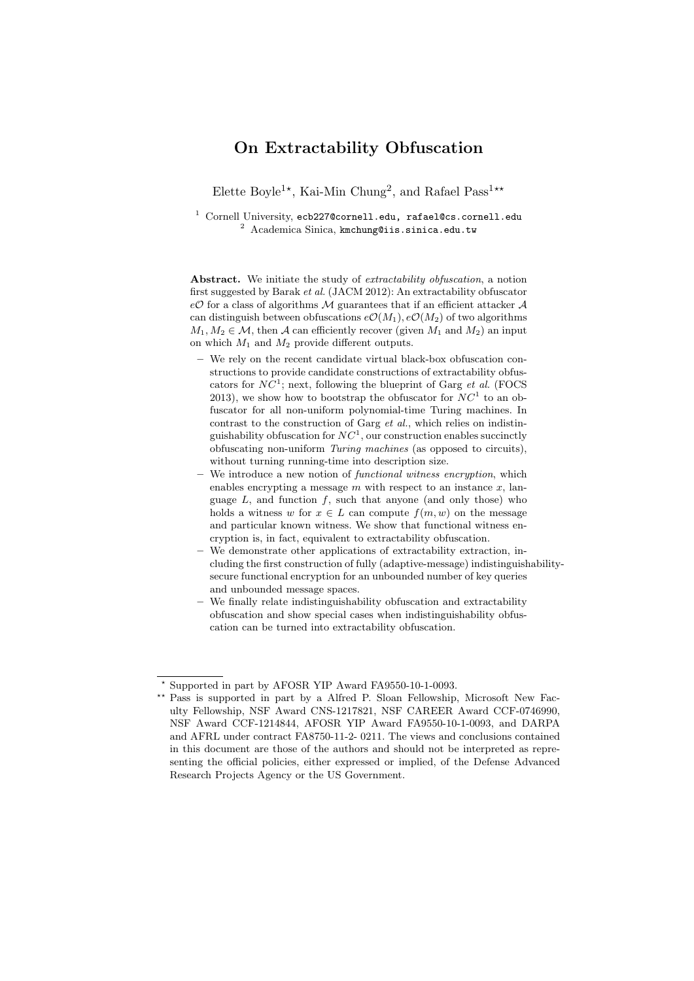# On Extractability Obfuscation

Elette Boyle<sup>1\*</sup>, Kai-Min Chung<sup>2</sup>, and Rafael Pass<sup>1\*\*</sup>

<sup>1</sup> Cornell University, ecb227@cornell.edu, rafael@cs.cornell.edu <sup>2</sup> Academica Sinica, kmchung@iis.sinica.edu.tw

Abstract. We initiate the study of *extractability obfuscation*, a notion first suggested by Barak et al. (JACM 2012): An extractability obfuscator  $e\mathcal{O}$  for a class of algorithms  $\mathcal{M}$  guarantees that if an efficient attacker  $\mathcal{A}$ can distinguish between obfuscations  $e\mathcal{O}(M_1)$ ,  $e\mathcal{O}(M_2)$  of two algorithms  $M_1, M_2 \in \mathcal{M}$ , then A can efficiently recover (given  $M_1$  and  $M_2$ ) an input on which  $M_1$  and  $M_2$  provide different outputs.

- We rely on the recent candidate virtual black-box obfuscation constructions to provide candidate constructions of extractability obfuscators for  $NC^1$ ; next, following the blueprint of Garg et al. (FOCS) 2013), we show how to bootstrap the obfuscator for  $NC<sup>1</sup>$  to an obfuscator for all non-uniform polynomial-time Turing machines. In contrast to the construction of Garg et al., which relies on indistinguishability obfuscation for  $NC<sup>1</sup>$ , our construction enables succinctly obfuscating non-uniform Turing machines (as opposed to circuits), without turning running-time into description size.
- We introduce a new notion of functional witness encryption, which enables encrypting a message  $m$  with respect to an instance  $x$ , language  $L$ , and function  $f$ , such that anyone (and only those) who holds a witness w for  $x \in L$  can compute  $f(m, w)$  on the message and particular known witness. We show that functional witness encryption is, in fact, equivalent to extractability obfuscation.
- We demonstrate other applications of extractability extraction, including the first construction of fully (adaptive-message) indistinguishabilitysecure functional encryption for an unbounded number of key queries and unbounded message spaces.
- We finally relate indistinguishability obfuscation and extractability obfuscation and show special cases when indistinguishability obfuscation can be turned into extractability obfuscation.

<sup>?</sup> Supported in part by AFOSR YIP Award FA9550-10-1-0093.

<sup>\*\*</sup> Pass is supported in part by a Alfred P. Sloan Fellowship, Microsoft New Faculty Fellowship, NSF Award CNS-1217821, NSF CAREER Award CCF-0746990, NSF Award CCF-1214844, AFOSR YIP Award FA9550-10-1-0093, and DARPA and AFRL under contract FA8750-11-2- 0211. The views and conclusions contained in this document are those of the authors and should not be interpreted as representing the official policies, either expressed or implied, of the Defense Advanced Research Projects Agency or the US Government.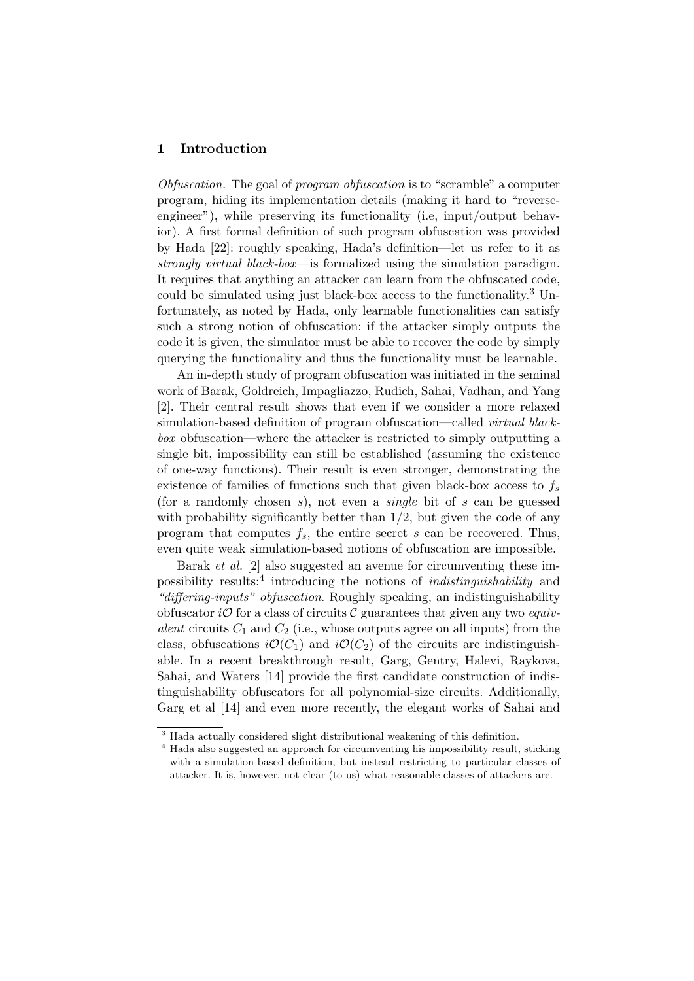### 1 Introduction

Obfuscation. The goal of program obfuscation is to "scramble" a computer program, hiding its implementation details (making it hard to "reverseengineer"), while preserving its functionality (i.e, input/output behavior). A first formal definition of such program obfuscation was provided by Hada [22]: roughly speaking, Hada's definition—let us refer to it as strongly virtual black-box—is formalized using the simulation paradigm. It requires that anything an attacker can learn from the obfuscated code, could be simulated using just black-box access to the functionality.<sup>3</sup> Unfortunately, as noted by Hada, only learnable functionalities can satisfy such a strong notion of obfuscation: if the attacker simply outputs the code it is given, the simulator must be able to recover the code by simply querying the functionality and thus the functionality must be learnable.

An in-depth study of program obfuscation was initiated in the seminal work of Barak, Goldreich, Impagliazzo, Rudich, Sahai, Vadhan, and Yang [2]. Their central result shows that even if we consider a more relaxed simulation-based definition of program obfuscation—called *virtual black*box obfuscation—where the attacker is restricted to simply outputting a single bit, impossibility can still be established (assuming the existence of one-way functions). Their result is even stronger, demonstrating the existence of families of functions such that given black-box access to  $f_s$ (for a randomly chosen s), not even a *single* bit of s can be guessed with probability significantly better than  $1/2$ , but given the code of any program that computes  $f_s$ , the entire secret s can be recovered. Thus, even quite weak simulation-based notions of obfuscation are impossible.

Barak et al. [2] also suggested an avenue for circumventing these impossibility results:<sup>4</sup> introducing the notions of *indistinguishability* and "differing-inputs" obfuscation. Roughly speaking, an indistinguishability obfuscator  $i\mathcal{O}$  for a class of circuits  $\mathcal C$  guarantees that given any two *equiv*alent circuits  $C_1$  and  $C_2$  (i.e., whose outputs agree on all inputs) from the class, obfuscations  $i\mathcal{O}(C_1)$  and  $i\mathcal{O}(C_2)$  of the circuits are indistinguishable. In a recent breakthrough result, Garg, Gentry, Halevi, Raykova, Sahai, and Waters [14] provide the first candidate construction of indistinguishability obfuscators for all polynomial-size circuits. Additionally, Garg et al [14] and even more recently, the elegant works of Sahai and

<sup>3</sup> Hada actually considered slight distributional weakening of this definition.

<sup>&</sup>lt;sup>4</sup> Hada also suggested an approach for circumventing his impossibility result, sticking with a simulation-based definition, but instead restricting to particular classes of attacker. It is, however, not clear (to us) what reasonable classes of attackers are.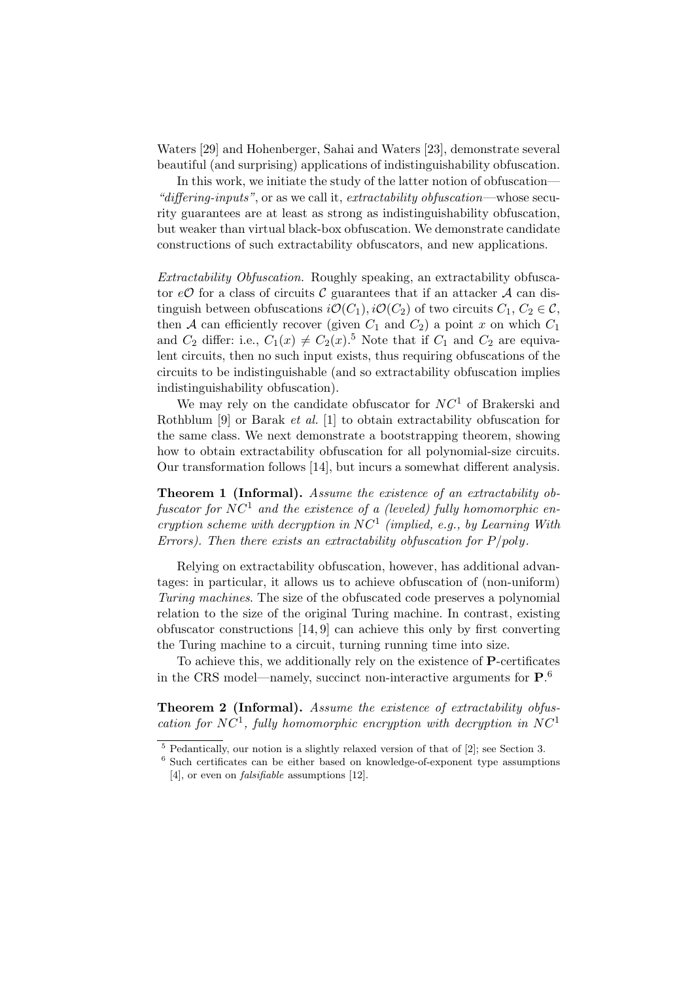Waters [29] and Hohenberger, Sahai and Waters [23], demonstrate several beautiful (and surprising) applications of indistinguishability obfuscation.

In this work, we initiate the study of the latter notion of obfuscation— "differing-inputs", or as we call it, extractability obfuscation—whose security guarantees are at least as strong as indistinguishability obfuscation, but weaker than virtual black-box obfuscation. We demonstrate candidate constructions of such extractability obfuscators, and new applications.

Extractability Obfuscation. Roughly speaking, an extractability obfuscator e $\mathcal O$  for a class of circuits  $\mathcal C$  guarantees that if an attacker  $\mathcal A$  can distinguish between obfuscations  $i\mathcal{O}(C_1), i\mathcal{O}(C_2)$  of two circuits  $C_1, C_2 \in \mathcal{C}$ , then A can efficiently recover (given  $C_1$  and  $C_2$ ) a point x on which  $C_1$ and  $C_2$  differ: i.e.,  $C_1(x) \neq C_2(x)$ .<sup>5</sup> Note that if  $C_1$  and  $C_2$  are equivalent circuits, then no such input exists, thus requiring obfuscations of the circuits to be indistinguishable (and so extractability obfuscation implies indistinguishability obfuscation).

We may rely on the candidate obfuscator for  $NC<sup>1</sup>$  of Brakerski and Rothblum [9] or Barak et al. [1] to obtain extractability obfuscation for the same class. We next demonstrate a bootstrapping theorem, showing how to obtain extractability obfuscation for all polynomial-size circuits. Our transformation follows [14], but incurs a somewhat different analysis.

Theorem 1 (Informal). Assume the existence of an extractability obfuscator for  $NC^1$  and the existence of a (leveled) fully homomorphic encryption scheme with decryption in  $NC<sup>1</sup>$  (implied, e.g., by Learning With Errors). Then there exists an extractability obfuscation for  $P/poly$ .

Relying on extractability obfuscation, however, has additional advantages: in particular, it allows us to achieve obfuscation of (non-uniform) Turing machines. The size of the obfuscated code preserves a polynomial relation to the size of the original Turing machine. In contrast, existing obfuscator constructions [14, 9] can achieve this only by first converting the Turing machine to a circuit, turning running time into size.

To achieve this, we additionally rely on the existence of P-certificates in the CRS model—namely, succinct non-interactive arguments for  $P^6$ .

Theorem 2 (Informal). Assume the existence of extractability obfuscation for  $NC^1$ , fully homomorphic encryption with decryption in  $NC^1$ 

 $\frac{5}{5}$  Pedantically, our notion is a slightly relaxed version of that of [2]; see Section 3.

<sup>6</sup> Such certificates can be either based on knowledge-of-exponent type assumptions [4], or even on falsifiable assumptions [12].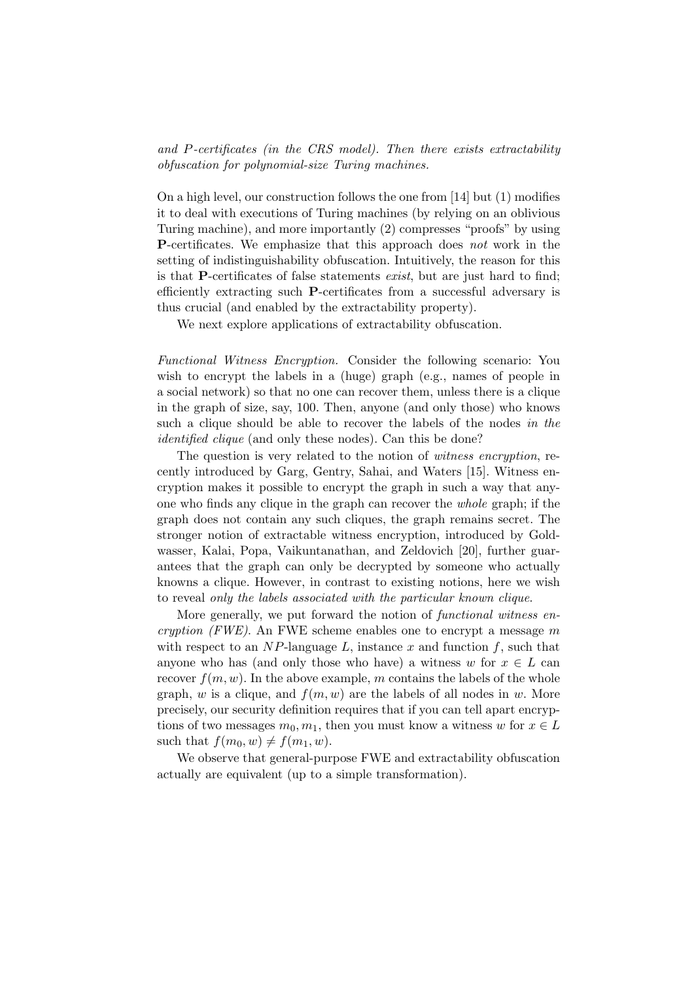and P-certificates (in the CRS model). Then there exists extractability obfuscation for polynomial-size Turing machines.

On a high level, our construction follows the one from [14] but (1) modifies it to deal with executions of Turing machines (by relying on an oblivious Turing machine), and more importantly (2) compresses "proofs" by using P-certificates. We emphasize that this approach does not work in the setting of indistinguishability obfuscation. Intuitively, the reason for this is that P-certificates of false statements exist, but are just hard to find; efficiently extracting such P-certificates from a successful adversary is thus crucial (and enabled by the extractability property).

We next explore applications of extractability obfuscation.

Functional Witness Encryption. Consider the following scenario: You wish to encrypt the labels in a (huge) graph (e.g., names of people in a social network) so that no one can recover them, unless there is a clique in the graph of size, say, 100. Then, anyone (and only those) who knows such a clique should be able to recover the labels of the nodes in the identified clique (and only these nodes). Can this be done?

The question is very related to the notion of witness encryption, recently introduced by Garg, Gentry, Sahai, and Waters [15]. Witness encryption makes it possible to encrypt the graph in such a way that anyone who finds any clique in the graph can recover the whole graph; if the graph does not contain any such cliques, the graph remains secret. The stronger notion of extractable witness encryption, introduced by Goldwasser, Kalai, Popa, Vaikuntanathan, and Zeldovich [20], further guarantees that the graph can only be decrypted by someone who actually knowns a clique. However, in contrast to existing notions, here we wish to reveal only the labels associated with the particular known clique.

More generally, we put forward the notion of *functional witness en*cryption (FWE). An FWE scheme enables one to encrypt a message  $m$ with respect to an  $NP$ -language L, instance x and function f, such that anyone who has (and only those who have) a witness w for  $x \in L$  can recover  $f(m, w)$ . In the above example, m contains the labels of the whole graph, w is a clique, and  $f(m, w)$  are the labels of all nodes in w. More precisely, our security definition requires that if you can tell apart encryptions of two messages  $m_0, m_1$ , then you must know a witness w for  $x \in L$ such that  $f(m_0, w) \neq f(m_1, w)$ .

We observe that general-purpose FWE and extractability obfuscation actually are equivalent (up to a simple transformation).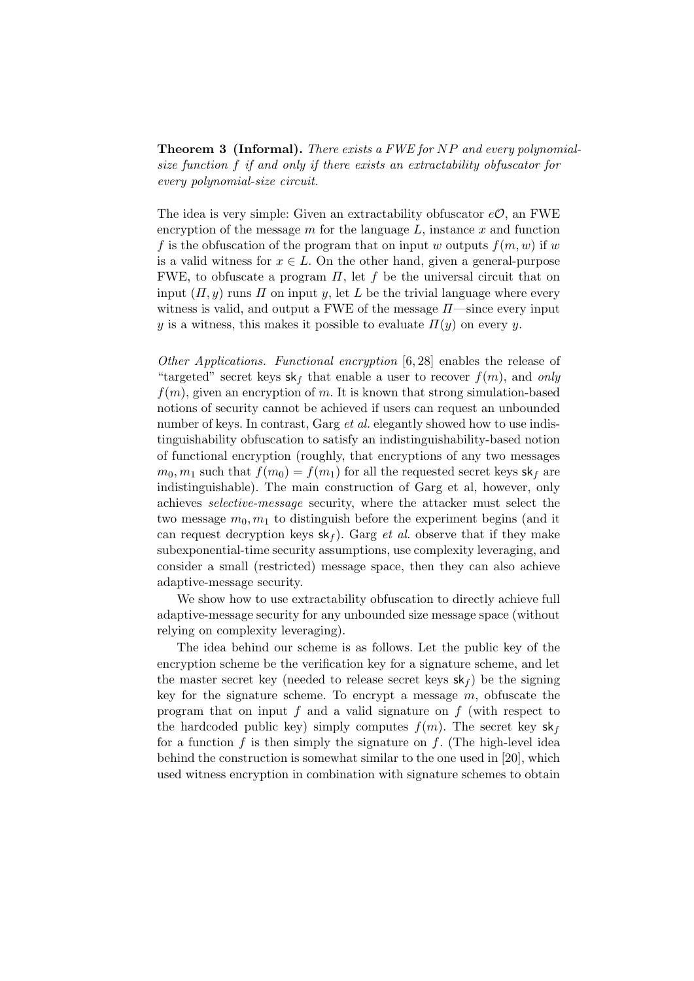Theorem 3 (Informal). There exists a FWE for NP and every polynomialsize function f if and only if there exists an extractability obfuscator for every polynomial-size circuit.

The idea is very simple: Given an extractability obfuscator  $e\mathcal{O}$ , an FWE encryption of the message  $m$  for the language  $L$ , instance  $x$  and function f is the obfuscation of the program that on input w outputs  $f(m, w)$  if w is a valid witness for  $x \in L$ . On the other hand, given a general-purpose FWE, to obfuscate a program  $\Pi$ , let f be the universal circuit that on input  $(\Pi, y)$  runs  $\Pi$  on input y, let L be the trivial language where every witness is valid, and output a FWE of the message  $\Pi$ —since every input y is a witness, this makes it possible to evaluate  $\Pi(y)$  on every y.

Other Applications. Functional encryption [6, 28] enables the release of "targeted" secret keys  $sk_f$  that enable a user to recover  $f(m)$ , and only  $f(m)$ , given an encryption of m. It is known that strong simulation-based notions of security cannot be achieved if users can request an unbounded number of keys. In contrast, Garg *et al.* elegantly showed how to use indistinguishability obfuscation to satisfy an indistinguishability-based notion of functional encryption (roughly, that encryptions of any two messages  $m_0, m_1$  such that  $f(m_0) = f(m_1)$  for all the requested secret keys sk<sub>f</sub> are indistinguishable). The main construction of Garg et al, however, only achieves selective-message security, where the attacker must select the two message  $m_0, m_1$  to distinguish before the experiment begins (and it can request decryption keys  $sk_f$ ). Garg *et al.* observe that if they make subexponential-time security assumptions, use complexity leveraging, and consider a small (restricted) message space, then they can also achieve adaptive-message security.

We show how to use extractability obfuscation to directly achieve full adaptive-message security for any unbounded size message space (without relying on complexity leveraging).

The idea behind our scheme is as follows. Let the public key of the encryption scheme be the verification key for a signature scheme, and let the master secret key (needed to release secret keys  $sk_f$ ) be the signing key for the signature scheme. To encrypt a message  $m$ , obfuscate the program that on input  $f$  and a valid signature on  $f$  (with respect to the hardcoded public key) simply computes  $f(m)$ . The secret key sk<sub>f</sub> for a function f is then simply the signature on f. (The high-level idea behind the construction is somewhat similar to the one used in [20], which used witness encryption in combination with signature schemes to obtain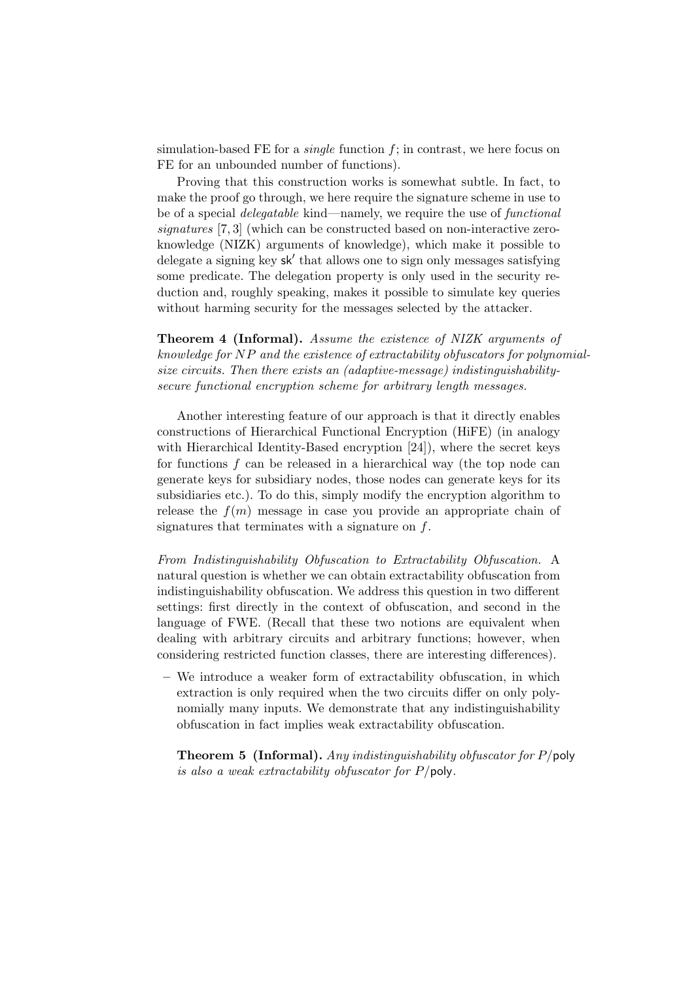simulation-based FE for a *single* function  $f$ ; in contrast, we here focus on FE for an unbounded number of functions).

Proving that this construction works is somewhat subtle. In fact, to make the proof go through, we here require the signature scheme in use to be of a special delegatable kind—namely, we require the use of functional signatures [7, 3] (which can be constructed based on non-interactive zeroknowledge (NIZK) arguments of knowledge), which make it possible to delegate a signing key  $sk'$  that allows one to sign only messages satisfying some predicate. The delegation property is only used in the security reduction and, roughly speaking, makes it possible to simulate key queries without harming security for the messages selected by the attacker.

Theorem 4 (Informal). Assume the existence of NIZK arguments of knowledge for NP and the existence of extractability obfuscators for polynomialsize circuits. Then there exists an (adaptive-message) indistinguishabilitysecure functional encryption scheme for arbitrary length messages.

Another interesting feature of our approach is that it directly enables constructions of Hierarchical Functional Encryption (HiFE) (in analogy with Hierarchical Identity-Based encryption [24]), where the secret keys for functions  $f$  can be released in a hierarchical way (the top node can generate keys for subsidiary nodes, those nodes can generate keys for its subsidiaries etc.). To do this, simply modify the encryption algorithm to release the  $f(m)$  message in case you provide an appropriate chain of signatures that terminates with a signature on  $f$ .

From Indistinguishability Obfuscation to Extractability Obfuscation. A natural question is whether we can obtain extractability obfuscation from indistinguishability obfuscation. We address this question in two different settings: first directly in the context of obfuscation, and second in the language of FWE. (Recall that these two notions are equivalent when dealing with arbitrary circuits and arbitrary functions; however, when considering restricted function classes, there are interesting differences).

– We introduce a weaker form of extractability obfuscation, in which extraction is only required when the two circuits differ on only polynomially many inputs. We demonstrate that any indistinguishability obfuscation in fact implies weak extractability obfuscation.

**Theorem 5 (Informal).** Any indistinguishability obfuscator for  $P$ /poly is also a weak extractability obfuscator for P/poly.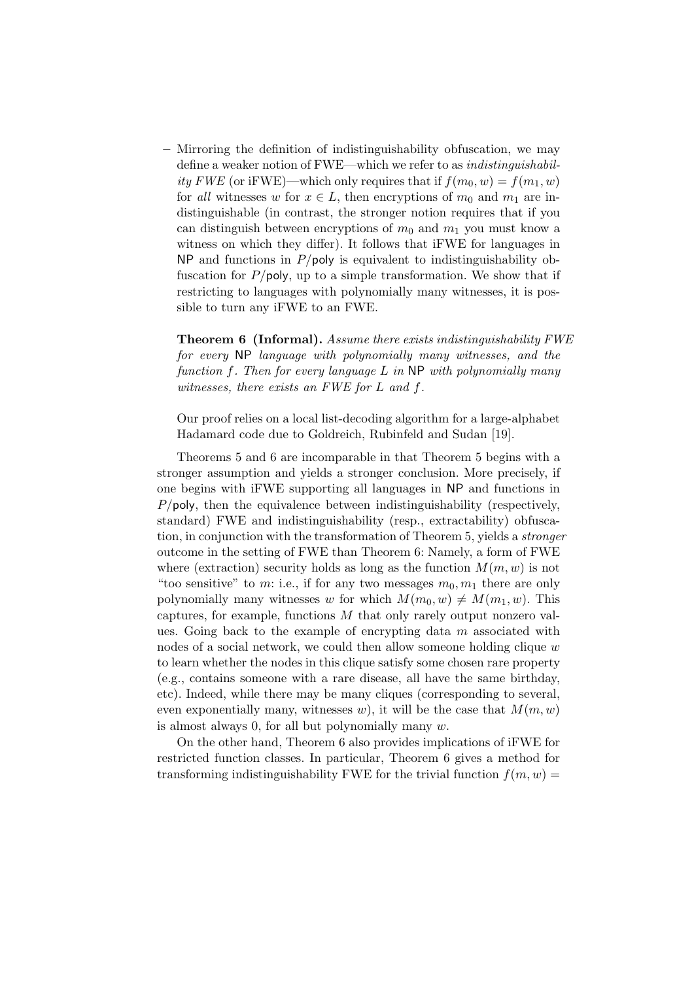– Mirroring the definition of indistinguishability obfuscation, we may define a weaker notion of FWE—which we refer to as indistinguishability FWE (or iFWE)—which only requires that if  $f(m_0, w) = f(m_1, w)$ for all witnesses w for  $x \in L$ , then encryptions of  $m_0$  and  $m_1$  are indistinguishable (in contrast, the stronger notion requires that if you can distinguish between encryptions of  $m_0$  and  $m_1$  you must know a witness on which they differ). It follows that iFWE for languages in  $NP$  and functions in  $P/\text{poly}$  is equivalent to indistinguishability obfuscation for  $P/\text{poly}$ , up to a simple transformation. We show that if restricting to languages with polynomially many witnesses, it is possible to turn any iFWE to an FWE.

Theorem 6 (Informal). Assume there exists indistinguishability FWE for every NP language with polynomially many witnesses, and the function f. Then for every language  $L$  in NP with polynomially many witnesses, there exists an FWE for L and f.

Our proof relies on a local list-decoding algorithm for a large-alphabet Hadamard code due to Goldreich, Rubinfeld and Sudan [19].

Theorems 5 and 6 are incomparable in that Theorem 5 begins with a stronger assumption and yields a stronger conclusion. More precisely, if one begins with iFWE supporting all languages in NP and functions in  $P/\text{poly}$ , then the equivalence between indistinguishability (respectively, standard) FWE and indistinguishability (resp., extractability) obfuscation, in conjunction with the transformation of Theorem 5, yields a stronger outcome in the setting of FWE than Theorem 6: Namely, a form of FWE where (extraction) security holds as long as the function  $M(m, w)$  is not "too sensitive" to m: i.e., if for any two messages  $m_0, m_1$  there are only polynomially many witnesses w for which  $M(m_0, w) \neq M(m_1, w)$ . This captures, for example, functions M that only rarely output nonzero values. Going back to the example of encrypting data  $m$  associated with nodes of a social network, we could then allow someone holding clique w to learn whether the nodes in this clique satisfy some chosen rare property (e.g., contains someone with a rare disease, all have the same birthday, etc). Indeed, while there may be many cliques (corresponding to several, even exponentially many, witnesses w), it will be the case that  $M(m, w)$ is almost always 0, for all but polynomially many w.

On the other hand, Theorem 6 also provides implications of iFWE for restricted function classes. In particular, Theorem 6 gives a method for transforming indistinguishability FWE for the trivial function  $f(m, w) =$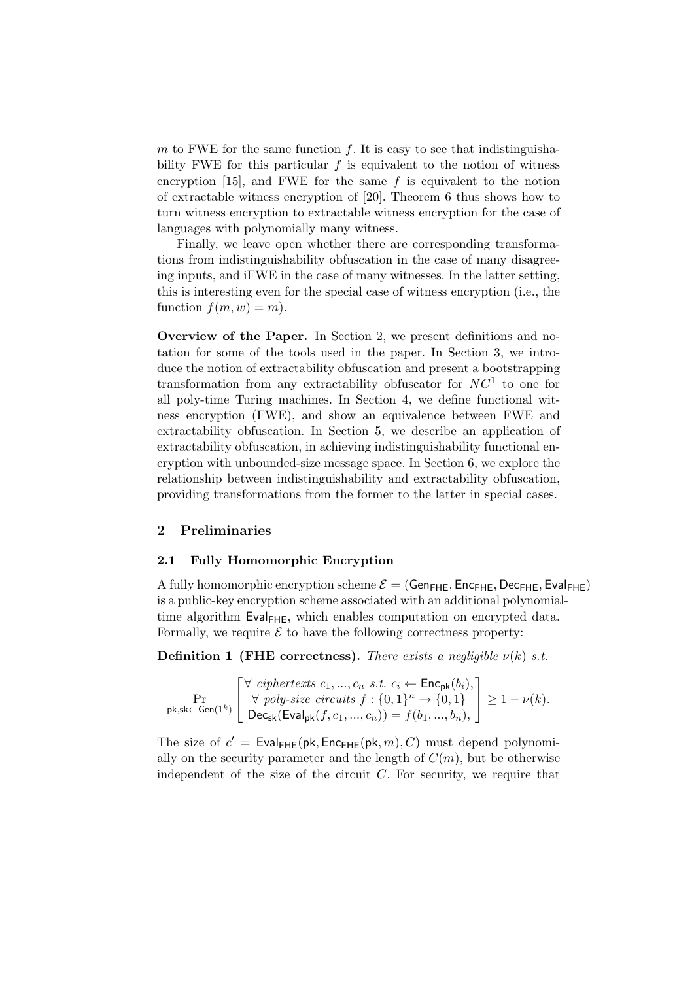m to FWE for the same function f. It is easy to see that indistinguishability FWE for this particular  $f$  is equivalent to the notion of witness encryption [15], and FWE for the same  $f$  is equivalent to the notion of extractable witness encryption of [20]. Theorem 6 thus shows how to turn witness encryption to extractable witness encryption for the case of languages with polynomially many witness.

Finally, we leave open whether there are corresponding transformations from indistinguishability obfuscation in the case of many disagreeing inputs, and iFWE in the case of many witnesses. In the latter setting, this is interesting even for the special case of witness encryption (i.e., the function  $f(m, w) = m$ ).

Overview of the Paper. In Section 2, we present definitions and notation for some of the tools used in the paper. In Section 3, we introduce the notion of extractability obfuscation and present a bootstrapping transformation from any extractability obfuscator for  $NC<sup>1</sup>$  to one for all poly-time Turing machines. In Section 4, we define functional witness encryption (FWE), and show an equivalence between FWE and extractability obfuscation. In Section 5, we describe an application of extractability obfuscation, in achieving indistinguishability functional encryption with unbounded-size message space. In Section 6, we explore the relationship between indistinguishability and extractability obfuscation, providing transformations from the former to the latter in special cases.

## 2 Preliminaries

#### 2.1 Fully Homomorphic Encryption

A fully homomorphic encryption scheme  $\mathcal{E} = (Gen_{FHE}, Enc_{FHE}, Dec_{FHE}, Eval_{FHE})$ is a public-key encryption scheme associated with an additional polynomialtime algorithm  $Eval_{FHE}$ , which enables computation on encrypted data. Formally, we require  $\mathcal E$  to have the following correctness property:

**Definition 1 (FHE correctness).** There exists a negligible  $\nu(k)$  s.t.

$$
\Pr_{\mathsf{pk},\mathsf{sk}\leftarrow\mathsf{Gen}(1^k)}\left[\begin{array}{l}\forall\ \textit{ciphertexts}\ c_1,...,c_n\ \textit{s.t.}\ c_i\leftarrow\mathsf{Enc}_{\mathsf{pk}}(b_i),\\ \forall\ \textit{poly-size circuits}\ f:\{0,1\}^n\rightarrow\{0,1\}\\ \mathsf{Dec}_{\mathsf{sk}}(\mathsf{Eval}_{\mathsf{pk}}(f,c_1,...,c_n))=f(b_1,...,b_n), \end{array}\right]\geq 1-\nu(k).
$$

The size of  $c' =$  EvalFHE(pk, EncFHE(pk, m), C) must depend polynomially on the security parameter and the length of  $C(m)$ , but be otherwise independent of the size of the circuit  $C$ . For security, we require that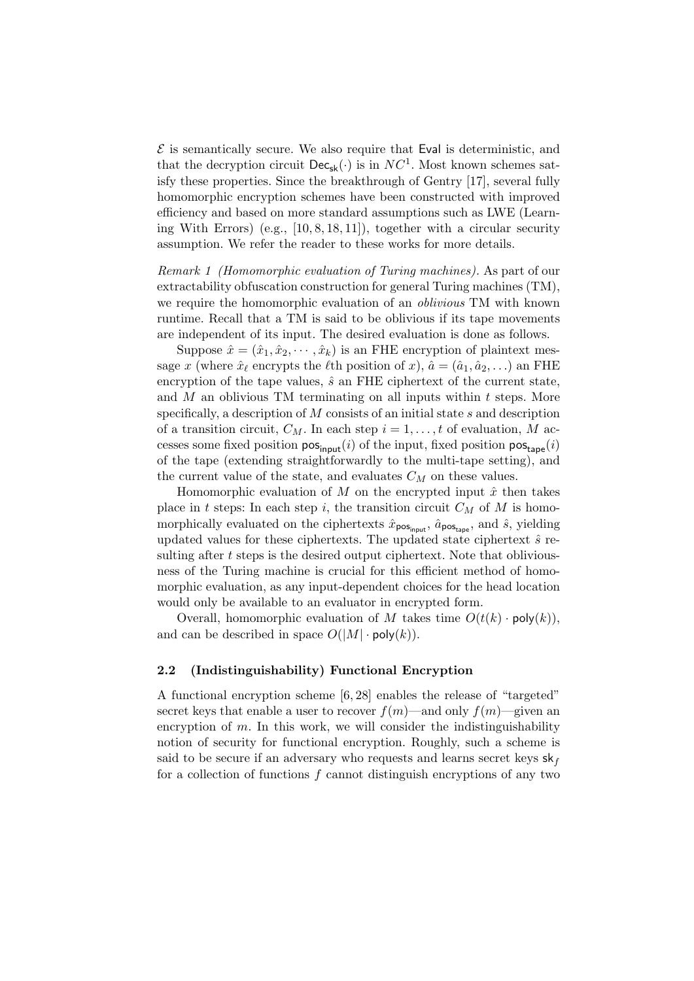$\mathcal E$  is semantically secure. We also require that Eval is deterministic, and that the decryption circuit  $\mathsf{Dec}_{\mathsf{sk}}(\cdot)$  is in  $NC^1$ . Most known schemes satisfy these properties. Since the breakthrough of Gentry [17], several fully homomorphic encryption schemes have been constructed with improved efficiency and based on more standard assumptions such as LWE (Learning With Errors) (e.g., [10, 8, 18, 11]), together with a circular security assumption. We refer the reader to these works for more details.

Remark 1 (Homomorphic evaluation of Turing machines). As part of our extractability obfuscation construction for general Turing machines (TM), we require the homomorphic evaluation of an oblivious TM with known runtime. Recall that a TM is said to be oblivious if its tape movements are independent of its input. The desired evaluation is done as follows.

Suppose  $\hat{x} = (\hat{x}_1, \hat{x}_2, \cdots, \hat{x}_k)$  is an FHE encryption of plaintext message x (where  $\hat{x}_{\ell}$  encrypts the  $\ell$ th position of x),  $\hat{a} = (\hat{a}_1, \hat{a}_2, \ldots)$  an FHE encryption of the tape values,  $\hat{s}$  an FHE ciphertext of the current state, and  $M$  an oblivious TM terminating on all inputs within  $t$  steps. More specifically, a description of  $M$  consists of an initial state  $s$  and description of a transition circuit,  $C_M$ . In each step  $i = 1, \ldots, t$  of evaluation, M accesses some fixed position  $pos_{input}(i)$  of the input, fixed position  $pos_{map}(i)$ of the tape (extending straightforwardly to the multi-tape setting), and the current value of the state, and evaluates  $C_M$  on these values.

Homomorphic evaluation of M on the encrypted input  $\hat{x}$  then takes place in t steps: In each step i, the transition circuit  $C_M$  of M is homomorphically evaluated on the ciphertexts  $\hat{x}_{\text{pos}_{\text{input}}}$ ,  $\hat{a}_{\text{pos}_{\text{tape}}}$ , and  $\hat{s}$ , yielding updated values for these ciphertexts. The updated state ciphertext  $\hat{s}$  resulting after  $t$  steps is the desired output ciphertext. Note that obliviousness of the Turing machine is crucial for this efficient method of homomorphic evaluation, as any input-dependent choices for the head location would only be available to an evaluator in encrypted form.

Overall, homomorphic evaluation of M takes time  $O(t(k) \cdot \text{poly}(k))$ , and can be described in space  $O(|M| \cdot \text{poly}(k))$ .

### 2.2 (Indistinguishability) Functional Encryption

A functional encryption scheme [6, 28] enables the release of "targeted" secret keys that enable a user to recover  $f(m)$ —and only  $f(m)$ —given an encryption of  $m$ . In this work, we will consider the indistinguishability notion of security for functional encryption. Roughly, such a scheme is said to be secure if an adversary who requests and learns secret keys  $\mathsf{sk}_f$ for a collection of functions f cannot distinguish encryptions of any two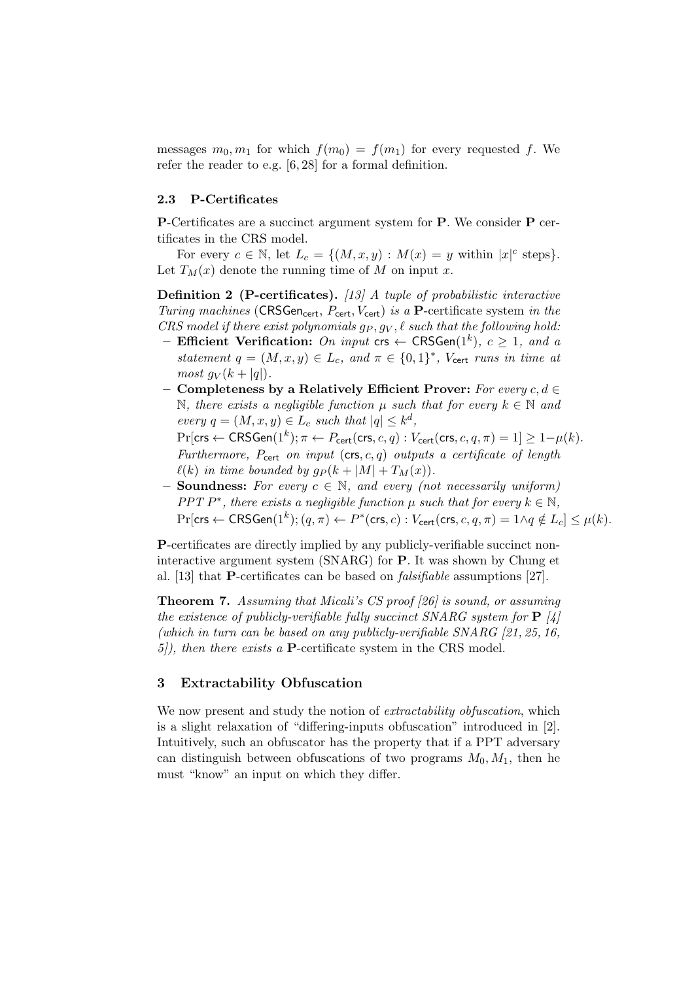messages  $m_0, m_1$  for which  $f(m_0) = f(m_1)$  for every requested f. We refer the reader to e.g. [6, 28] for a formal definition.

#### 2.3 P-Certificates

P-Certificates are a succinct argument system for P. We consider P certificates in the CRS model.

For every  $c \in \mathbb{N}$ , let  $L_c = \{(M, x, y) : M(x) = y \text{ within } |x|^c \text{ steps}\}.$ Let  $T_M(x)$  denote the running time of M on input x.

**Definition 2 (P-certificates).** [13] A tuple of probabilistic interactive Turing machines (CRSGencert,  $P_{\text{cert}}, V_{\text{cert}}$ ) is a P-certificate system in the CRS model if there exist polynomials  $g_P, g_V, \ell$  such that the following hold:

- Efficient Verification: On input crs  $\leftarrow$  CRSGen(1<sup>k</sup>),  $c \ge 1$ , and a statement  $q = (M, x, y) \in L_c$ , and  $\pi \in \{0, 1\}^*$ , V<sub>cert</sub> runs in time at most  $g_V(k+|q|)$ .
- Completeness by a Relatively Efficient Prover: For every  $c, d \in$ N, there exists a negligible function  $\mu$  such that for every  $k \in \mathbb{N}$  and every  $q = (M, x, y) \in L_c$  such that  $|q| \leq k^d$ ,

 $\Pr[\mathsf{crs} \gets \mathsf{CRSGen}(1^k); \pi \gets P_{\mathsf{cert}}(\mathsf{crs}, c, q): V_{\mathsf{cert}}(\mathsf{crs}, c, q, \pi) = 1] \geq 1 - \mu(k).$ Furthermore,  $P_{\text{cert}}$  on input (crs, c, q) outputs a certificate of length  $\ell(k)$  in time bounded by  $g_P (k + |M| + T_M(x)).$ 

– **Soundness:** For every  $c \in \mathbb{N}$ , and every (not necessarily uniform) PPT  $P^*$ , there exists a negligible function  $\mu$  such that for every  $k \in \mathbb{N}$ ,  $\Pr[\mathsf{crs} \gets \mathsf{CRSGen}(1^k); (q, \pi) \gets P^*(\mathsf{crs}, c) : V_\mathsf{cert}(\mathsf{crs}, c, q, \pi) = 1 \land q \notin L_c] \leq \mu(k).$ 

P-certificates are directly implied by any publicly-verifiable succinct noninteractive argument system (SNARG) for P. It was shown by Chung et al. [13] that P-certificates can be based on falsifiable assumptions [27].

**Theorem 7.** Assuming that Micali's CS proof [26] is sound, or assuming the existence of publicly-verifiable fully succinct SNARG system for  $P \lvert \mathcal{U} \rvert$ (which in turn can be based on any publicly-verifiable  $SNARG$  [21, 25, 16,  $5$ , then there exists a **P**-certificate system in the CRS model.

## 3 Extractability Obfuscation

We now present and study the notion of *extractability obfuscation*, which is a slight relaxation of "differing-inputs obfuscation" introduced in [2]. Intuitively, such an obfuscator has the property that if a PPT adversary can distinguish between obfuscations of two programs  $M_0, M_1$ , then he must "know" an input on which they differ.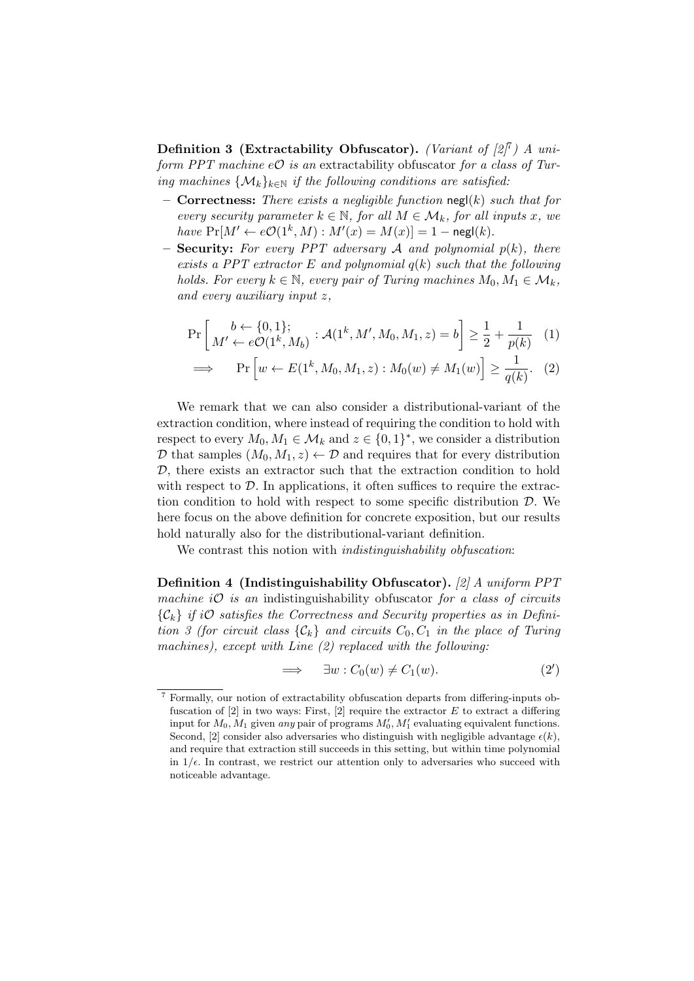Definition 3 (Extractability Obfuscator). (Variant of  $[2]^{7}$ ) A uniform PPT machine  $e\mathcal{O}$  is an extractability obfuscator for a class of Turing machines  $\{M_k\}_{k\in\mathbb{N}}$  if the following conditions are satisfied:

- **Correctness:** There exists a negligible function  $\text{negl}(k)$  such that for every security parameter  $k \in \mathbb{N}$ , for all  $M \in \mathcal{M}_k$ , for all inputs x, we have  $Pr[M' \leftarrow eO(1^k, M) : M'(x) = M(x)] = 1 - negl(k).$
- **Security:** For every PPT adversary A and polynomial  $p(k)$ , there exists a PPT extractor E and polynomial  $q(k)$  such that the following holds. For every  $k \in \mathbb{N}$ , every pair of Turing machines  $M_0, M_1 \in \mathcal{M}_k$ , and every auxiliary input z,

$$
\Pr\left[M' \leftarrow eO(1^k, M_b) : \mathcal{A}(1^k, M', M_0, M_1, z) = b\right] \ge \frac{1}{2} + \frac{1}{p(k)} \quad (1)
$$

$$
\implies \quad \Pr\left[w \leftarrow E(1^k, M_0, M_1, z) : M_0(w) \neq M_1(w)\right] \ge \frac{1}{q(k)}.\tag{2}
$$

We remark that we can also consider a distributional-variant of the extraction condition, where instead of requiring the condition to hold with respect to every  $M_0, M_1 \in \mathcal{M}_k$  and  $z \in \{0, 1\}^*$ , we consider a distribution D that samples  $(M_0, M_1, z) \leftarrow \mathcal{D}$  and requires that for every distribution D, there exists an extractor such that the extraction condition to hold with respect to  $\mathcal{D}$ . In applications, it often suffices to require the extraction condition to hold with respect to some specific distribution  $D$ . We here focus on the above definition for concrete exposition, but our results hold naturally also for the distributional-variant definition.

We contrast this notion with *indistinguishability obfuscation*:

Definition 4 (Indistinguishability Obfuscator). [2] A uniform PPT machine  $i\mathcal{O}$  is an indistinguishability obfuscator for a class of circuits  ${C_k}$  if iO satisfies the Correctness and Security properties as in Definition 3 (for circuit class  $\{\mathcal{C}_k\}$  and circuits  $C_0, C_1$  in the place of Turing machines), except with Line  $(2)$  replaced with the following:

$$
\implies \quad \exists w : C_0(w) \neq C_1(w). \tag{2'}
$$

<sup>7</sup> Formally, our notion of extractability obfuscation departs from differing-inputs obfuscation of  $[2]$  in two ways: First,  $[2]$  require the extractor E to extract a differing input for  $M_0, M_1$  given any pair of programs  $M'_0, M'_1$  evaluating equivalent functions. Second, [2] consider also adversaries who distinguish with negligible advantage  $\epsilon(k)$ , and require that extraction still succeeds in this setting, but within time polynomial in  $1/\epsilon$ . In contrast, we restrict our attention only to adversaries who succeed with noticeable advantage.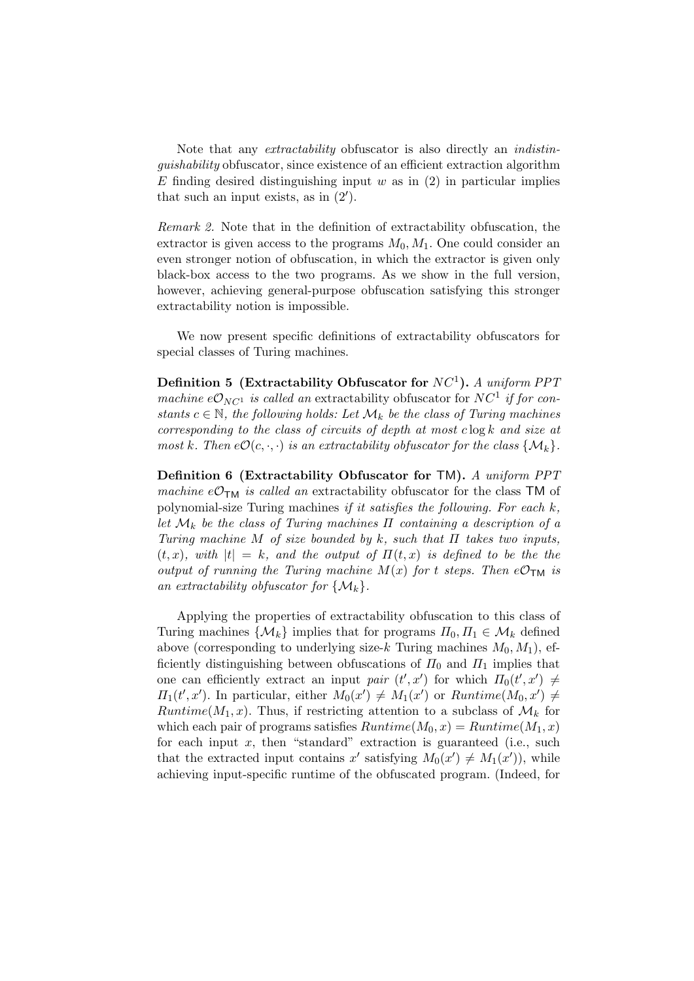Note that any *extractability* obfuscator is also directly an *indistin*guishability obfuscator, since existence of an efficient extraction algorithm E finding desired distinguishing input w as in  $(2)$  in particular implies that such an input exists, as in  $(2')$ .

Remark 2. Note that in the definition of extractability obfuscation, the extractor is given access to the programs  $M_0, M_1$ . One could consider an even stronger notion of obfuscation, in which the extractor is given only black-box access to the two programs. As we show in the full version, however, achieving general-purpose obfuscation satisfying this stronger extractability notion is impossible.

We now present specific definitions of extractability obfuscators for special classes of Turing machines.

Definition 5 (Extractability Obfuscator for  $NC^1$ ). A uniform PPT machine  $e\mathcal{O}_{NC^1}$  is called an extractability obfuscator for  $NC^1$  if for constants  $c \in \mathbb{N}$ , the following holds: Let  $\mathcal{M}_k$  be the class of Turing machines corresponding to the class of circuits of depth at most  $c \log k$  and size at most k. Then  $e\mathcal{O}(c, \cdot, \cdot)$  is an extractability obfuscator for the class  $\{M_k\}$ .

Definition 6 (Extractability Obfuscator for TM). A uniform PPT machine  $e\mathcal{O}_{TM}$  is called an extractability obfuscator for the class TM of polynomial-size Turing machines if it satisfies the following. For each  $k$ , let  $\mathcal{M}_k$  be the class of Turing machines  $\Pi$  containing a description of a Turing machine M of size bounded by k, such that  $\Pi$  takes two inputs,  $(t, x)$ , with  $|t| = k$ , and the output of  $\Pi(t, x)$  is defined to be the the output of running the Turing machine  $M(x)$  for t steps. Then  $e\mathcal{O}_{TM}$  is an extractability obfuscator for  $\{M_k\}$ .

Applying the properties of extractability obfuscation to this class of Turing machines  $\{M_k\}$  implies that for programs  $\Pi_0, \Pi_1 \in \mathcal{M}_k$  defined above (corresponding to underlying size-k Turing machines  $M_0, M_1$ ), efficiently distinguishing between obfuscations of  $\Pi_0$  and  $\Pi_1$  implies that one can efficiently extract an input pair  $(t',x')$  for which  $\Pi_0(t',x') \neq$  $\Pi_1(t',x')$ . In particular, either  $M_0(x') \neq M_1(x')$  or  $Runtime(M_0,x') \neq$ Runtime( $M_1, x$ ). Thus, if restricting attention to a subclass of  $\mathcal{M}_k$  for which each pair of programs satisfies  $Runtime(M_0, x) = Runtime(M_1, x)$ for each input  $x$ , then "standard" extraction is guaranteed (i.e., such that the extracted input contains x' satisfying  $M_0(x') \neq M_1(x')$ , while achieving input-specific runtime of the obfuscated program. (Indeed, for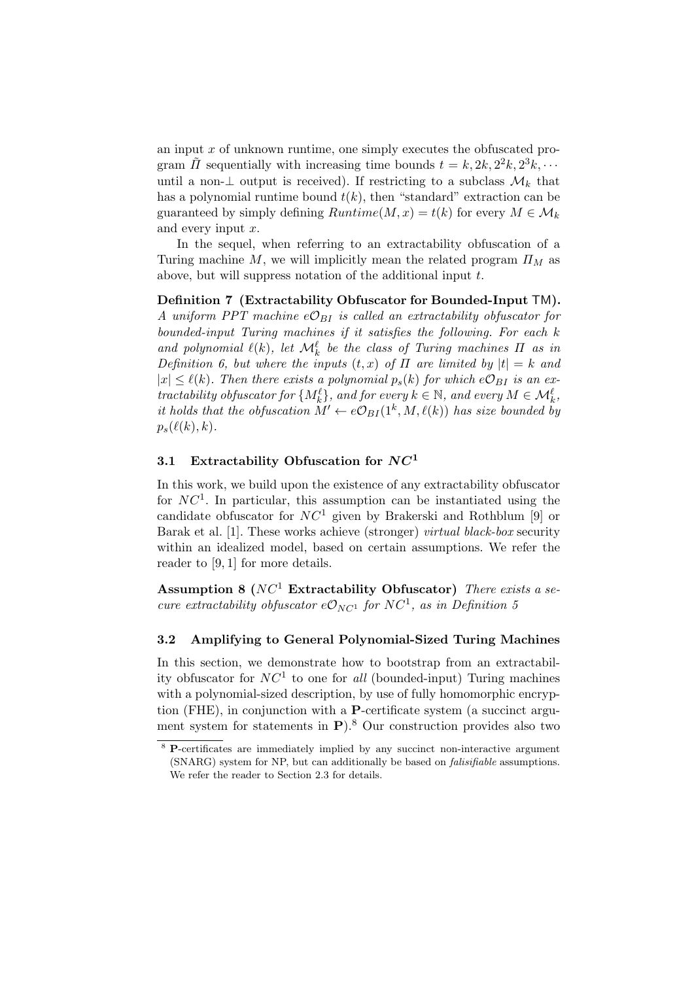an input  $x$  of unknown runtime, one simply executes the obfuscated program  $\tilde{\Pi}$  sequentially with increasing time bounds  $t = k, 2k, 2^2k, 2^3k, \cdots$ until a non- $\perp$  output is received). If restricting to a subclass  $\mathcal{M}_k$  that has a polynomial runtime bound  $t(k)$ , then "standard" extraction can be guaranteed by simply defining  $Runtime(M, x) = t(k)$  for every  $M \in \mathcal{M}_k$ and every input x.

In the sequel, when referring to an extractability obfuscation of a Turing machine M, we will implicitly mean the related program  $\Pi_M$  as above, but will suppress notation of the additional input  $t$ .

Definition 7 (Extractability Obfuscator for Bounded-Input TM). A uniform PPT machine  $e\mathcal{O}_{BI}$  is called an extractability obfuscator for bounded-input Turing machines if it satisfies the following. For each k and polynomial  $\ell(k)$ , let  $\mathcal{M}_k^{\ell}$  be the class of Turing machines  $\Pi$  as in Definition 6, but where the inputs  $(t, x)$  of  $\Pi$  are limited by  $|t| = k$  and  $|x| \leq \ell(k)$ . Then there exists a polynomial  $p_s(k)$  for which  $e\mathcal{O}_{BI}$  is an extractability obfuscator for  $\{M_k^{\ell}\}\$ , and for every  $k \in \mathbb{N}$ , and every  $M \in \mathcal{M}_k^{\ell}$ , it holds that the obfuscation  $M' \leftarrow e\mathcal{O}_{BI}(1^k, M, \ell(k))$  has size bounded by  $p_s(\ell(k), k)$ .

### 3.1 Extractability Obfuscation for  $NC<sup>1</sup>$

In this work, we build upon the existence of any extractability obfuscator for  $NC<sup>1</sup>$ . In particular, this assumption can be instantiated using the candidate obfuscator for  $NC<sup>1</sup>$  given by Brakerski and Rothblum [9] or Barak et al. [1]. These works achieve (stronger) virtual black-box security within an idealized model, based on certain assumptions. We refer the reader to [9, 1] for more details.

Assumption 8  $(NC^1)$  Extractability Obfuscator) There exists a secure extractability obfuscator  $e\mathcal{O}_{NC^1}$  for  $NC^1$ , as in Definition 5

#### 3.2 Amplifying to General Polynomial-Sized Turing Machines

In this section, we demonstrate how to bootstrap from an extractability obfuscator for  $NC^1$  to one for all (bounded-input) Turing machines with a polynomial-sized description, by use of fully homomorphic encryption (FHE), in conjunction with a P-certificate system (a succinct argument system for statements in  $\mathbf{P}$ ).<sup>8</sup> Our construction provides also two

<sup>&</sup>lt;sup>8</sup> P-certificates are immediately implied by any succinct non-interactive argument (SNARG) system for NP, but can additionally be based on falisifiable assumptions. We refer the reader to Section 2.3 for details.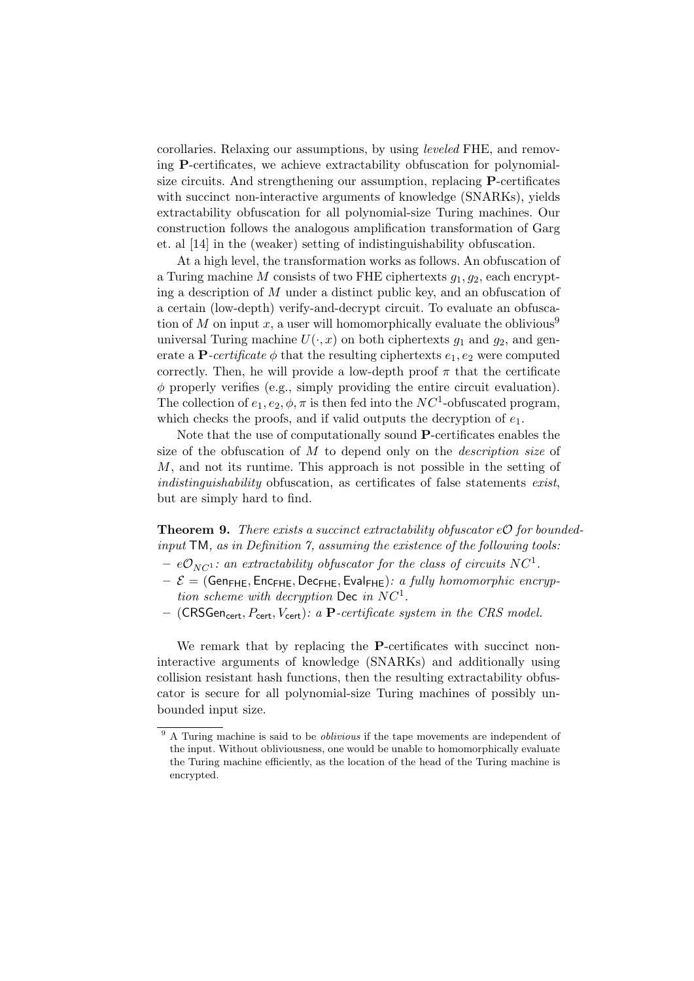corollaries. Relaxing our assumptions, by using leveled FHE, and removing P-certificates, we achieve extractability obfuscation for polynomialsize circuits. And strengthening our assumption, replacing P-certificates with succinct non-interactive arguments of knowledge (SNARKs), yields extractability obfuscation for all polynomial-size Turing machines. Our construction follows the analogous amplification transformation of Garg et. al [14] in the (weaker) setting of indistinguishability obfuscation.

At a high level, the transformation works as follows. An obfuscation of a Turing machine M consists of two FHE ciphertexts  $q_1, q_2$ , each encrypting a description of  $M$  under a distinct public key, and an obfuscation of a certain (low-depth) verify-and-decrypt circuit. To evaluate an obfuscation of M on input x, a user will homomorphically evaluate the oblivious<sup>9</sup> universal Turing machine  $U(\cdot, x)$  on both ciphertexts  $g_1$  and  $g_2$ , and generate a **P**-certificate  $\phi$  that the resulting ciphertexts  $e_1, e_2$  were computed correctly. Then, he will provide a low-depth proof  $\pi$  that the certificate  $\phi$  properly verifies (e.g., simply providing the entire circuit evaluation). The collection of  $e_1, e_2, \phi, \pi$  is then fed into the NC<sup>1</sup>-obfuscated program, which checks the proofs, and if valid outputs the decryption of  $e_1$ .

Note that the use of computationally sound P-certificates enables the size of the obfuscation of M to depend only on the *description size* of M, and not its runtime. This approach is not possible in the setting of indistinguishability obfuscation, as certificates of false statements exist, but are simply hard to find.

**Theorem 9.** There exists a succinct extractability obfuscator  $e\mathcal{O}$  for boundedinput TM, as in Definition 7, assuming the existence of the following tools:

- $-$  e $\mathcal{O}_{NC^1}$ : an extractability obfuscator for the class of circuits  $NC^1$ .
- $-\mathcal{E} = (Gen_{FHF}, Enc_{FHF}, Dec_{FHF}, Evaluating the *homomorphic* encryption)$ tion scheme with decryption Dec in  $NC<sup>1</sup>$ .
- (CRSGencert,  $P_{\text{cert}}, V_{\text{cert}}$ ): a P-certificate system in the CRS model.

We remark that by replacing the **P**-certificates with succinct noninteractive arguments of knowledge (SNARKs) and additionally using collision resistant hash functions, then the resulting extractability obfuscator is secure for all polynomial-size Turing machines of possibly unbounded input size.

<sup>&</sup>lt;sup>9</sup> A Turing machine is said to be *oblivious* if the tape movements are independent of the input. Without obliviousness, one would be unable to homomorphically evaluate the Turing machine efficiently, as the location of the head of the Turing machine is encrypted.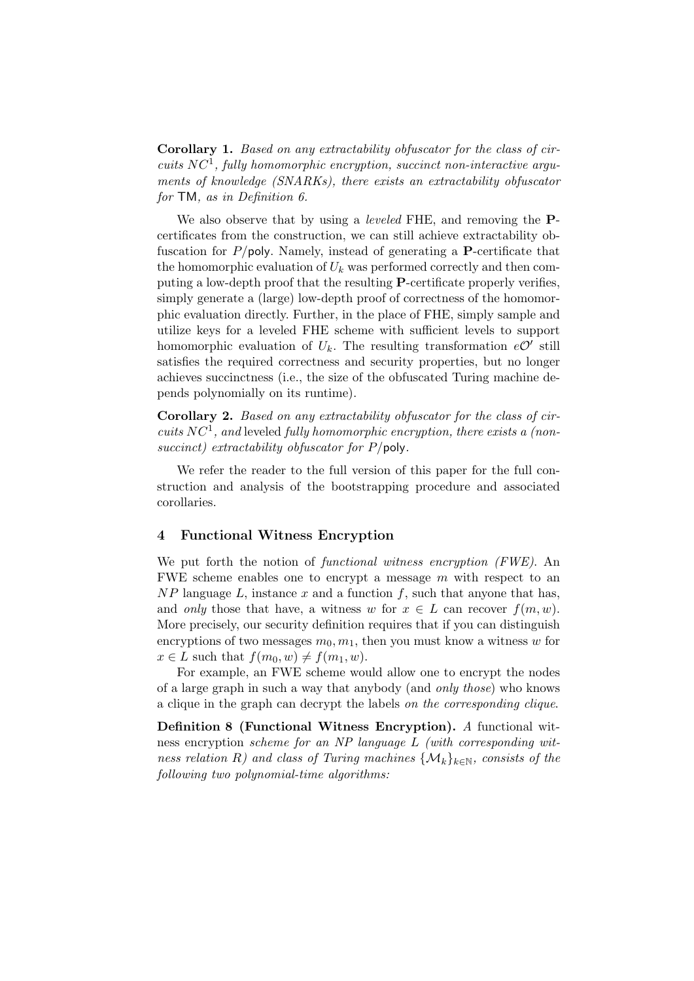Corollary 1. Based on any extractability obfuscator for the class of circuits  $NC<sup>1</sup>$ , fully homomorphic encryption, succinct non-interactive arguments of knowledge (SNARKs), there exists an extractability obfuscator for TM, as in Definition 6.

We also observe that by using a leveled FHE, and removing the Pcertificates from the construction, we can still achieve extractability obfuscation for  $P/\text{poly}$ . Namely, instead of generating a **P**-certificate that the homomorphic evaluation of  $U_k$  was performed correctly and then computing a low-depth proof that the resulting P-certificate properly verifies, simply generate a (large) low-depth proof of correctness of the homomorphic evaluation directly. Further, in the place of FHE, simply sample and utilize keys for a leveled FHE scheme with sufficient levels to support homomorphic evaluation of  $U_k$ . The resulting transformation  $e^{\mathcal{O}'}$  still satisfies the required correctness and security properties, but no longer achieves succinctness (i.e., the size of the obfuscated Turing machine depends polynomially on its runtime).

Corollary 2. Based on any extractability obfuscator for the class of circuits  $NC<sup>1</sup>$ , and leveled fully homomorphic encryption, there exists a (nonsuccinct) extractability obfuscator for  $P$ /poly.

We refer the reader to the full version of this paper for the full construction and analysis of the bootstrapping procedure and associated corollaries.

### 4 Functional Witness Encryption

We put forth the notion of *functional witness encryption (FWE)*. An FWE scheme enables one to encrypt a message m with respect to an  $NP$  language L, instance x and a function f, such that anyone that has, and only those that have, a witness w for  $x \in L$  can recover  $f(m, w)$ . More precisely, our security definition requires that if you can distinguish encryptions of two messages  $m_0, m_1$ , then you must know a witness w for  $x \in L$  such that  $f(m_0, w) \neq f(m_1, w)$ .

For example, an FWE scheme would allow one to encrypt the nodes of a large graph in such a way that anybody (and only those) who knows a clique in the graph can decrypt the labels on the corresponding clique.

Definition 8 (Functional Witness Encryption). A functional witness encryption scheme for an NP language L (with corresponding witness relation R) and class of Turing machines  $\{M_k\}_{k\in\mathbb{N}}$ , consists of the following two polynomial-time algorithms: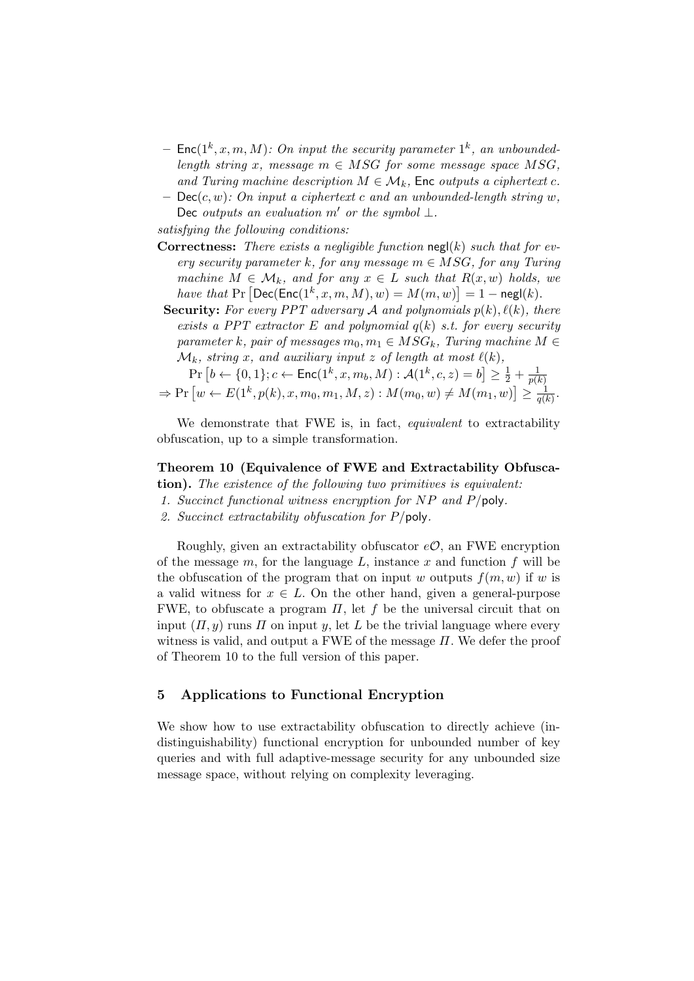- $-$  Enc(1<sup>k</sup>, x, m, M): On input the security parameter 1<sup>k</sup>, an unboundedlength string x, message  $m \in MSS$  for some message space MSG, and Turing machine description  $M \in \mathcal{M}_k$ , Enc outputs a ciphertext c.
- $-$  Dec(c, w): On input a ciphertext c and an unbounded-length string w, Dec *outputs an evaluation* m' or the symbol  $\perp$ .

satisfying the following conditions:

- **Correctness:** There exists a negligible function  $\text{negl}(k)$  such that for every security parameter k, for any message  $m \in MSS$ , for any Turing machine  $M \in \mathcal{M}_k$ , and for any  $x \in L$  such that  $R(x, w)$  holds, we have that  $Pr\left[Dec(Enc(1^k, x, m, M), w) = M(m, w)\right] = 1 - negl(k).$
- **Security:** For every PPT adversary A and polynomials  $p(k)$ ,  $\ell(k)$ , there exists a PPT extractor E and polynomial  $q(k)$  s.t. for every security parameter k, pair of messages  $m_0, m_1 \in MSG_k$ , Turing machine  $M \in$  $\mathcal{M}_k$ , string x, and auxiliary input z of length at most  $\ell(k)$ ,

$$
\Pr\left[b \leftarrow \{0, 1\}; c \leftarrow \text{Enc}(1^k, x, m_b, M) : \mathcal{A}(1^k, c, z) = b\right] \ge \frac{1}{2} + \frac{1}{p(k)}
$$
\n
$$
\Rightarrow \Pr\left[w \leftarrow E(1^k, p(k), x, m_0, m_1, M, z) : M(m_0, w) \neq M(m_1, w)\right] \ge \frac{1}{q(k)}.
$$

We demonstrate that FWE is, in fact, *equivalent* to extractability obfuscation, up to a simple transformation.

### Theorem 10 (Equivalence of FWE and Extractability Obfusca-

tion). The existence of the following two primitives is equivalent:

- 1. Succinct functional witness encryption for NP and P/poly.
- 2. Succinct extractability obfuscation for P/poly.

Roughly, given an extractability obfuscator  $e\mathcal{O}$ , an FWE encryption of the message  $m$ , for the language  $L$ , instance  $x$  and function  $f$  will be the obfuscation of the program that on input w outputs  $f(m, w)$  if w is a valid witness for  $x \in L$ . On the other hand, given a general-purpose FWE, to obfuscate a program  $\Pi$ , let f be the universal circuit that on input  $(\Pi, y)$  runs  $\Pi$  on input y, let L be the trivial language where every witness is valid, and output a FWE of the message  $\Pi$ . We defer the proof of Theorem 10 to the full version of this paper.

### 5 Applications to Functional Encryption

We show how to use extractability obfuscation to directly achieve (indistinguishability) functional encryption for unbounded number of key queries and with full adaptive-message security for any unbounded size message space, without relying on complexity leveraging.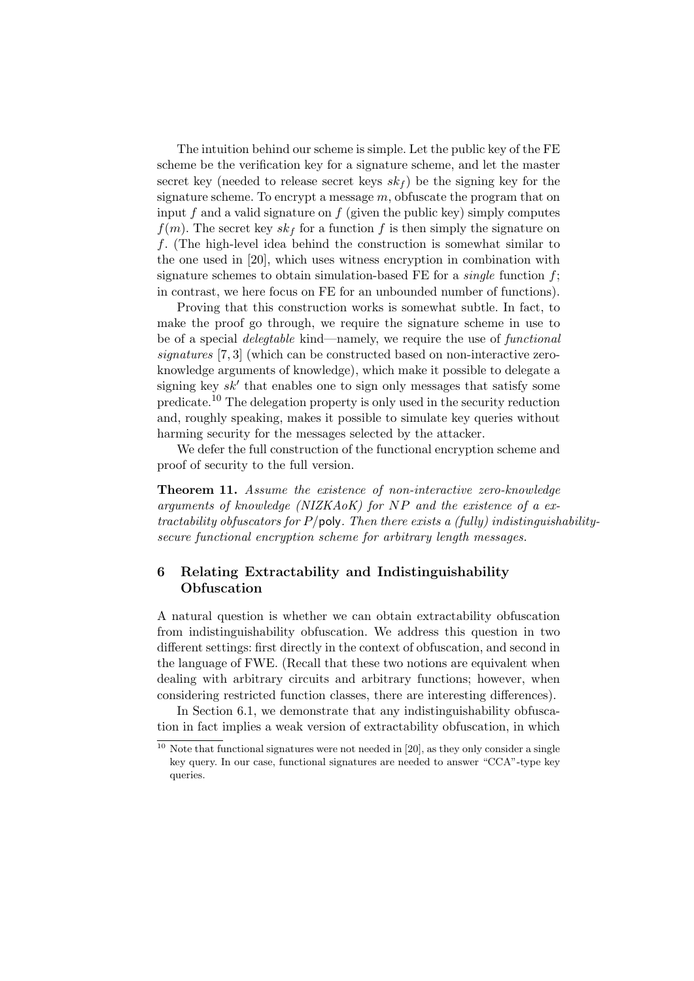The intuition behind our scheme is simple. Let the public key of the FE scheme be the verification key for a signature scheme, and let the master secret key (needed to release secret keys  $sk_f$ ) be the signing key for the signature scheme. To encrypt a message  $m$ , obfuscate the program that on input f and a valid signature on  $f$  (given the public key) simply computes  $f(m)$ . The secret key  $sk_f$  for a function f is then simply the signature on f. (The high-level idea behind the construction is somewhat similar to the one used in [20], which uses witness encryption in combination with signature schemes to obtain simulation-based FE for a *single* function  $f$ ; in contrast, we here focus on FE for an unbounded number of functions).

Proving that this construction works is somewhat subtle. In fact, to make the proof go through, we require the signature scheme in use to be of a special delegtable kind—namely, we require the use of functional signatures [7, 3] (which can be constructed based on non-interactive zeroknowledge arguments of knowledge), which make it possible to delegate a signing key  $sk'$  that enables one to sign only messages that satisfy some predicate.<sup>10</sup> The delegation property is only used in the security reduction and, roughly speaking, makes it possible to simulate key queries without harming security for the messages selected by the attacker.

We defer the full construction of the functional encryption scheme and proof of security to the full version.

Theorem 11. Assume the existence of non-interactive zero-knowledge arguments of knowledge (NIZKAoK) for  $NP$  and the existence of a extractability obfuscators for  $P/\text{poly}$ . Then there exists a (fully) indistinguishabilitysecure functional encryption scheme for arbitrary length messages.

# 6 Relating Extractability and Indistinguishability **Obfuscation**

A natural question is whether we can obtain extractability obfuscation from indistinguishability obfuscation. We address this question in two different settings: first directly in the context of obfuscation, and second in the language of FWE. (Recall that these two notions are equivalent when dealing with arbitrary circuits and arbitrary functions; however, when considering restricted function classes, there are interesting differences).

In Section 6.1, we demonstrate that any indistinguishability obfuscation in fact implies a weak version of extractability obfuscation, in which

 $10$  Note that functional signatures were not needed in [20], as they only consider a single key query. In our case, functional signatures are needed to answer "CCA"-type key queries.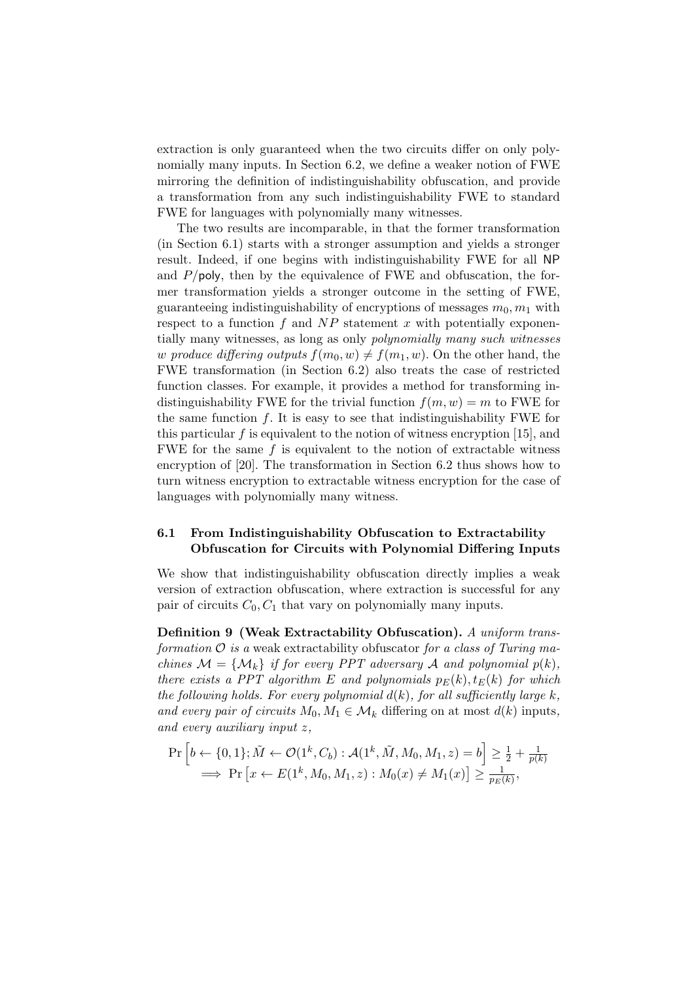extraction is only guaranteed when the two circuits differ on only polynomially many inputs. In Section 6.2, we define a weaker notion of FWE mirroring the definition of indistinguishability obfuscation, and provide a transformation from any such indistinguishability FWE to standard FWE for languages with polynomially many witnesses.

The two results are incomparable, in that the former transformation (in Section 6.1) starts with a stronger assumption and yields a stronger result. Indeed, if one begins with indistinguishability FWE for all NP and  $P/\text{poly}$ , then by the equivalence of FWE and obfuscation, the former transformation yields a stronger outcome in the setting of FWE, guaranteeing indistinguishability of encryptions of messages  $m_0, m_1$  with respect to a function  $f$  and  $NP$  statement  $x$  with potentially exponentially many witnesses, as long as only polynomially many such witnesses w produce differing outputs  $f(m_0, w) \neq f(m_1, w)$ . On the other hand, the FWE transformation (in Section 6.2) also treats the case of restricted function classes. For example, it provides a method for transforming indistinguishability FWE for the trivial function  $f(m, w) = m$  to FWE for the same function  $f$ . It is easy to see that indistinguishability FWE for this particular  $f$  is equivalent to the notion of witness encryption [15], and FWE for the same  $f$  is equivalent to the notion of extractable witness encryption of [20]. The transformation in Section 6.2 thus shows how to turn witness encryption to extractable witness encryption for the case of languages with polynomially many witness.

# 6.1 From Indistinguishability Obfuscation to Extractability Obfuscation for Circuits with Polynomial Differing Inputs

We show that indistinguishability obfuscation directly implies a weak version of extraction obfuscation, where extraction is successful for any pair of circuits  $C_0, C_1$  that vary on polynomially many inputs.

Definition 9 (Weak Extractability Obfuscation). A uniform transformation  $\mathcal O$  is a weak extractability obfuscator for a class of Turing machines  $\mathcal{M} = \{ \mathcal{M}_k \}$  if for every PPT adversary A and polynomial  $p(k)$ , there exists a PPT algorithm E and polynomials  $p_E(k)$ ,  $t_E(k)$  for which the following holds. For every polynomial  $d(k)$ , for all sufficiently large k, and every pair of circuits  $M_0, M_1 \in \mathcal{M}_k$  differing on at most  $d(k)$  inputs, and every auxiliary input z,

$$
\Pr\left[b \leftarrow \{0, 1\}; \tilde{M} \leftarrow \mathcal{O}(1^k, C_b) : \mathcal{A}(1^k, \tilde{M}, M_0, M_1, z) = b\right] \ge \frac{1}{2} + \frac{1}{p(k)} \implies \Pr\left[x \leftarrow E(1^k, M_0, M_1, z) : M_0(x) \neq M_1(x)\right] \ge \frac{1}{p_E(k)},
$$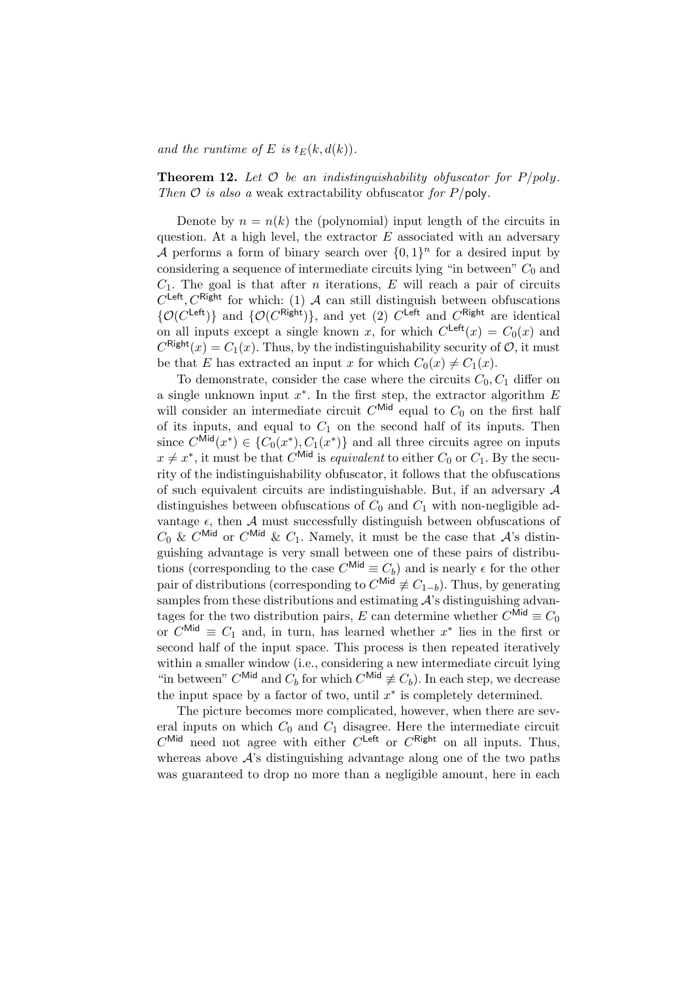#### and the runtime of E is  $t_E(k, d(k))$ .

**Theorem 12.** Let  $\mathcal O$  be an indistinguishability obfuscator for  $P/poly$ . Then  $\mathcal O$  is also a weak extractability obfuscator for  $P$ /poly.

Denote by  $n = n(k)$  the (polynomial) input length of the circuits in question. At a high level, the extractor  $E$  associated with an adversary A performs a form of binary search over  $\{0,1\}^n$  for a desired input by considering a sequence of intermediate circuits lying "in between"  $C_0$  and  $C_1$ . The goal is that after *n* iterations, *E* will reach a pair of circuits  $C^{\text{Left}}$ ,  $C^{\text{Right}}$  for which: (1) A can still distinguish between obfuscations  $\{O(C^{\text{Left}})\}\$ and  $\{O(C^{\text{Right}})\}\$ , and yet (2)  $C^{\text{Left}}$  and  $C^{\text{Right}}$  are identical on all inputs except a single known x, for which  $C^{\text{Left}}(x) = C_0(x)$  and  $C^{\mathsf{Right}}(x) = C_1(x)$ . Thus, by the indistinguishability security of  $\mathcal{O}$ , it must be that E has extracted an input x for which  $C_0(x) \neq C_1(x)$ .

To demonstrate, consider the case where the circuits  $C_0, C_1$  differ on a single unknown input  $x^*$ . In the first step, the extractor algorithm  $\overline{E}$ will consider an intermediate circuit  $C^{\text{Mid}}$  equal to  $C_0$  on the first half of its inputs, and equal to  $C_1$  on the second half of its inputs. Then since  $C^{\text{Mid}}(x^*) \in \{C_0(x^*), C_1(x^*)\}$  and all three circuits agree on inputs  $x \neq x^*$ , it must be that  $C^{\text{Mid}}$  is *equivalent* to either  $C_0$  or  $C_1$ . By the security of the indistinguishability obfuscator, it follows that the obfuscations of such equivalent circuits are indistinguishable. But, if an adversary A distinguishes between obfuscations of  $C_0$  and  $C_1$  with non-negligible advantage  $\epsilon$ , then A must successfully distinguish between obfuscations of  $C_0$  &  $C^{\text{Mid}}$  or  $C^{\text{Mid}}$  &  $C_1$ . Namely, it must be the case that  $\mathcal{A}$ 's distinguishing advantage is very small between one of these pairs of distributions (corresponding to the case  $C^{\text{Mid}} \equiv C_b$ ) and is nearly  $\epsilon$  for the other pair of distributions (corresponding to  $C^{\text{Mid}} \not\equiv C_{1-b}$ ). Thus, by generating samples from these distributions and estimating  $A$ 's distinguishing advantages for the two distribution pairs, E can determine whether  $C^{\text{Mid}} \equiv C_0$ or  $C^{Mid} \equiv C_1$  and, in turn, has learned whether  $x^*$  lies in the first or second half of the input space. This process is then repeated iteratively within a smaller window (i.e., considering a new intermediate circuit lying "in between"  $C^{\text{Mid}}$  and  $C_b$  for which  $C^{\text{Mid}} \not\equiv C_b$ ). In each step, we decrease the input space by a factor of two, until  $x^*$  is completely determined.

The picture becomes more complicated, however, when there are several inputs on which  $C_0$  and  $C_1$  disagree. Here the intermediate circuit  $C^{\text{Mid}}$  need not agree with either  $C^{\text{Left}}$  or  $C^{\text{Right}}$  on all inputs. Thus, whereas above  $A$ 's distinguishing advantage along one of the two paths was guaranteed to drop no more than a negligible amount, here in each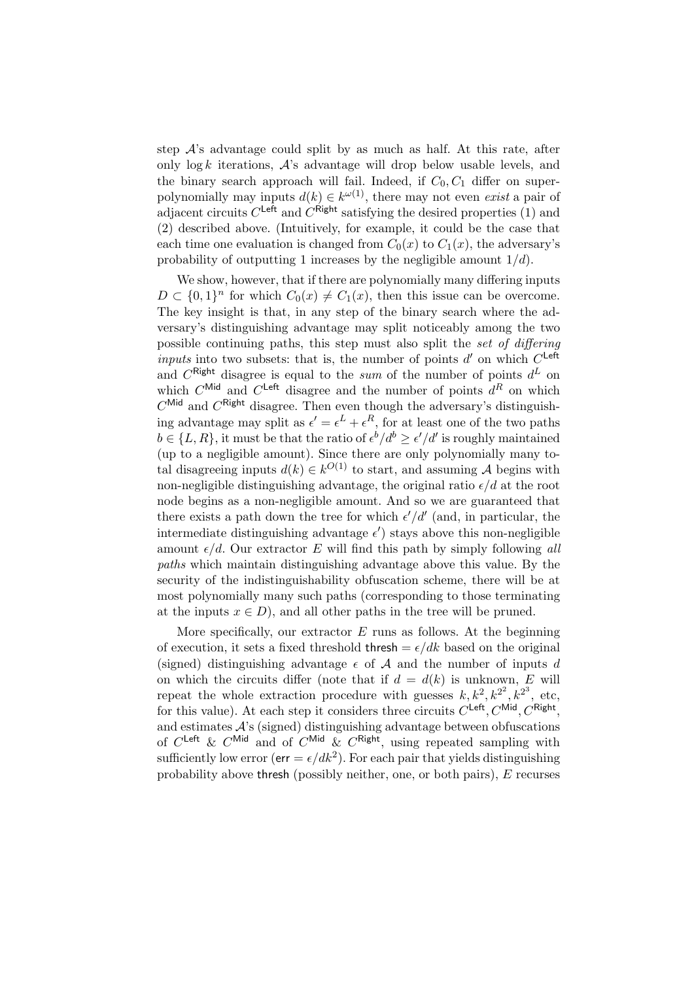step  $\mathcal{A}$ 's advantage could split by as much as half. At this rate, after only  $\log k$  iterations,  $\mathcal{A}$ 's advantage will drop below usable levels, and the binary search approach will fail. Indeed, if  $C_0, C_1$  differ on superpolynomially may inputs  $d(k) \in k^{\omega(1)}$ , there may not even *exist* a pair of adjacent circuits  $C^{\text{Left}}$  and  $C^{\text{Right}}$  satisfying the desired properties (1) and (2) described above. (Intuitively, for example, it could be the case that each time one evaluation is changed from  $C_0(x)$  to  $C_1(x)$ , the adversary's probability of outputting 1 increases by the negligible amount  $1/d$ .

We show, however, that if there are polynomially many differing inputs  $D \subset \{0,1\}^n$  for which  $C_0(x) \neq C_1(x)$ , then this issue can be overcome. The key insight is that, in any step of the binary search where the adversary's distinguishing advantage may split noticeably among the two possible continuing paths, this step must also split the set of differing *inputs* into two subsets: that is, the number of points  $d'$  on which  $C^{\text{Left}}$ and  $C^{\mathsf{Right}}$  disagree is equal to the sum of the number of points  $d^L$  on which  $C^{\text{Mid}}$  and  $C^{\text{Left}}$  disagree and the number of points  $d^R$  on which  $C^{\text{Mid}}$  and  $C^{\text{Right}}$  disagree. Then even though the adversary's distinguishing advantage may split as  $\epsilon' = \epsilon^L + \epsilon^R$ , for at least one of the two paths  $b \in \{L, R\}$ , it must be that the ratio of  $\epsilon^b/d^b \geq \epsilon'/d'$  is roughly maintained (up to a negligible amount). Since there are only polynomially many total disagreeing inputs  $d(k) \in k^{O(1)}$  to start, and assuming A begins with non-negligible distinguishing advantage, the original ratio  $\epsilon/d$  at the root node begins as a non-negligible amount. And so we are guaranteed that there exists a path down the tree for which  $\epsilon'/d'$  (and, in particular, the intermediate distinguishing advantage  $\epsilon'$  stays above this non-negligible amount  $\epsilon/d$ . Our extractor E will find this path by simply following all paths which maintain distinguishing advantage above this value. By the security of the indistinguishability obfuscation scheme, there will be at most polynomially many such paths (corresponding to those terminating at the inputs  $x \in D$ , and all other paths in the tree will be pruned.

More specifically, our extractor  $E$  runs as follows. At the beginning of execution, it sets a fixed threshold thresh  $= \epsilon/dk$  based on the original (signed) distinguishing advantage  $\epsilon$  of  $\mathcal A$  and the number of inputs d on which the circuits differ (note that if  $d = d(k)$  is unknown, E will repeat the whole extraction procedure with guesses  $k, k^2, k^{2^2}, k^{2^3}$ , etc, for this value). At each step it considers three circuits  $C^{\text{Left}}$ ,  $C^{\text{Mid}}$ ,  $C^{\text{Right}}$ , and estimates  $A$ 's (signed) distinguishing advantage between obfuscations of  $C^{\text{Left}}$  &  $C^{\text{Mid}}$  and of  $C^{\text{Mid}}$  &  $C^{\text{Right}}$ , using repeated sampling with sufficiently low error ( $err = \epsilon/dk^2$ ). For each pair that yields distinguishing probability above thresh (possibly neither, one, or both pairs),  $E$  recurses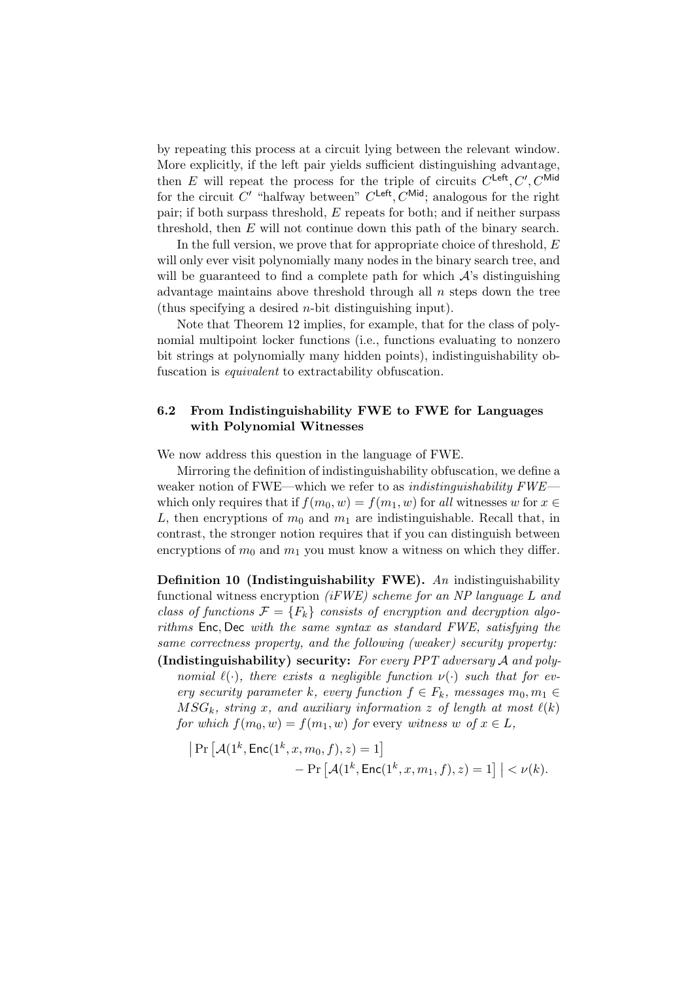by repeating this process at a circuit lying between the relevant window. More explicitly, if the left pair yields sufficient distinguishing advantage, then E will repeat the process for the triple of circuits  $C^{\mathsf{Left}}, C', C^{\mathsf{Mid}}$ for the circuit C' "halfway between"  $C^{\text{Left}}$ ,  $C^{\text{Mid}}$ ; analogous for the right pair; if both surpass threshold,  $E$  repeats for both; and if neither surpass threshold, then E will not continue down this path of the binary search.

In the full version, we prove that for appropriate choice of threshold,  $E$ will only ever visit polynomially many nodes in the binary search tree, and will be guaranteed to find a complete path for which  $\mathcal{A}$ 's distinguishing advantage maintains above threshold through all  $n$  steps down the tree (thus specifying a desired n-bit distinguishing input).

Note that Theorem 12 implies, for example, that for the class of polynomial multipoint locker functions (i.e., functions evaluating to nonzero bit strings at polynomially many hidden points), indistinguishability obfuscation is *equivalent* to extractability obfuscation.

## 6.2 From Indistinguishability FWE to FWE for Languages with Polynomial Witnesses

We now address this question in the language of FWE.

Mirroring the definition of indistinguishability obfuscation, we define a weaker notion of FWE—which we refer to as *indistinguishability FWE* which only requires that if  $f(m_0, w) = f(m_1, w)$  for all witnesses w for  $x \in$ L, then encryptions of  $m_0$  and  $m_1$  are indistinguishable. Recall that, in contrast, the stronger notion requires that if you can distinguish between encryptions of  $m_0$  and  $m_1$  you must know a witness on which they differ.

**Definition 10 (Indistinguishability FWE).** An indistinguishability functional witness encryption  $(iFWE)$  scheme for an NP language L and class of functions  $\mathcal{F} = \{F_k\}$  consists of encryption and decryption algorithms Enc, Dec with the same syntax as standard FWE, satisfying the same correctness property, and the following (weaker) security property:

(Indistinguishability) security: For every PPT adversary A and polynomial  $\ell(\cdot)$ , there exists a negligible function  $\nu(\cdot)$  such that for every security parameter k, every function  $f \in F_k$ , messages  $m_0, m_1 \in$  $MSG_k$ , string x, and auxiliary information z of length at most  $\ell(k)$ for which  $f(m_0, w) = f(m_1, w)$  for every witness w of  $x \in L$ ,

$$
\begin{aligned} \left| \Pr\left[\mathcal{A}(1^k,\mathsf{Enc}(1^k,x,m_0,f),z) = 1 \right] \\ &- \Pr\left[\mathcal{A}(1^k,\mathsf{Enc}(1^k,x,m_1,f),z) = 1 \right] \right| < \nu(k). \end{aligned}
$$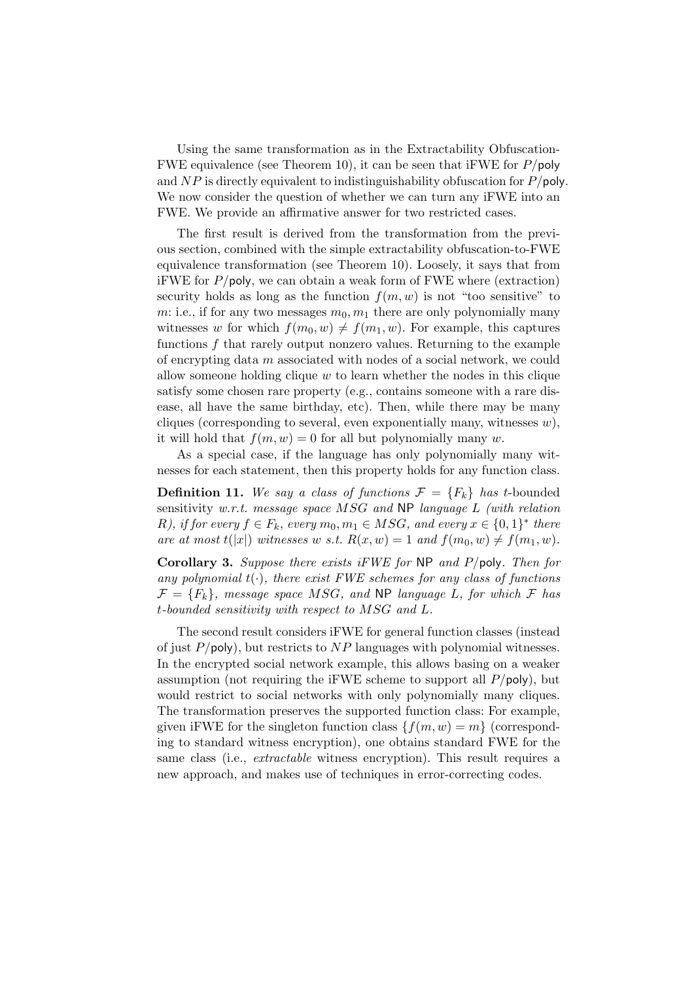Using the same transformation as in the Extractability Obfuscation-FWE equivalence (see Theorem 10), it can be seen that iFWE for  $P/\text{poly}$ and  $NP$  is directly equivalent to indistinguishability obfuscation for  $P/\text{poly}$ . We now consider the question of whether we can turn any iFWE into an FWE. We provide an affirmative answer for two restricted cases.

The first result is derived from the transformation from the previous section, combined with the simple extractability obfuscation-to-FWE equivalence transformation (see Theorem 10). Loosely, it says that from iFWE for  $P/\text{poly}$ , we can obtain a weak form of FWE where (extraction) security holds as long as the function  $f(m, w)$  is not "too sensitive" to m: i.e., if for any two messages  $m_0, m_1$  there are only polynomially many witnesses w for which  $f(m_0, w) \neq f(m_1, w)$ . For example, this captures functions f that rarely output nonzero values. Returning to the example of encrypting data m associated with nodes of a social network, we could allow someone holding clique  $w$  to learn whether the nodes in this clique satisfy some chosen rare property (e.g., contains someone with a rare disease, all have the same birthday, etc). Then, while there may be many cliques (corresponding to several, even exponentially many, witnesses  $w$ ), it will hold that  $f(m, w) = 0$  for all but polynomially many w.

As a special case, if the language has only polynomially many witnesses for each statement, then this property holds for any function class.

**Definition 11.** We say a class of functions  $\mathcal{F} = \{F_k\}$  has t-bounded sensitivity w.r.t. message space  $MSG$  and NP language  $L$  (with relation R), if for every  $f \in F_k$ , every  $m_0, m_1 \in MSC$ , and every  $x \in \{0, 1\}^*$  there are at most  $t(|x|)$  witnesses w s.t.  $R(x, w) = 1$  and  $f(m_0, w) \neq f(m_1, w)$ .

**Corollary 3.** Suppose there exists iFWE for  $NP$  and  $P/poly$ . Then for any polynomial  $t(\cdot)$ , there exist FWE schemes for any class of functions  $\mathcal{F} = \{F_k\}$ , message space MSG, and NP language L, for which F has t-bounded sensitivity with respect to MSG and L.

The second result considers iFWE for general function classes (instead of just  $P$ /poly), but restricts to  $NP$  languages with polynomial witnesses. In the encrypted social network example, this allows basing on a weaker assumption (not requiring the iFWE scheme to support all  $P/\text{poly}$ ), but would restrict to social networks with only polynomially many cliques. The transformation preserves the supported function class: For example, given iFWE for the singleton function class  $\{f(m, w) = m\}$  (corresponding to standard witness encryption), one obtains standard FWE for the same class (i.e., extractable witness encryption). This result requires a new approach, and makes use of techniques in error-correcting codes.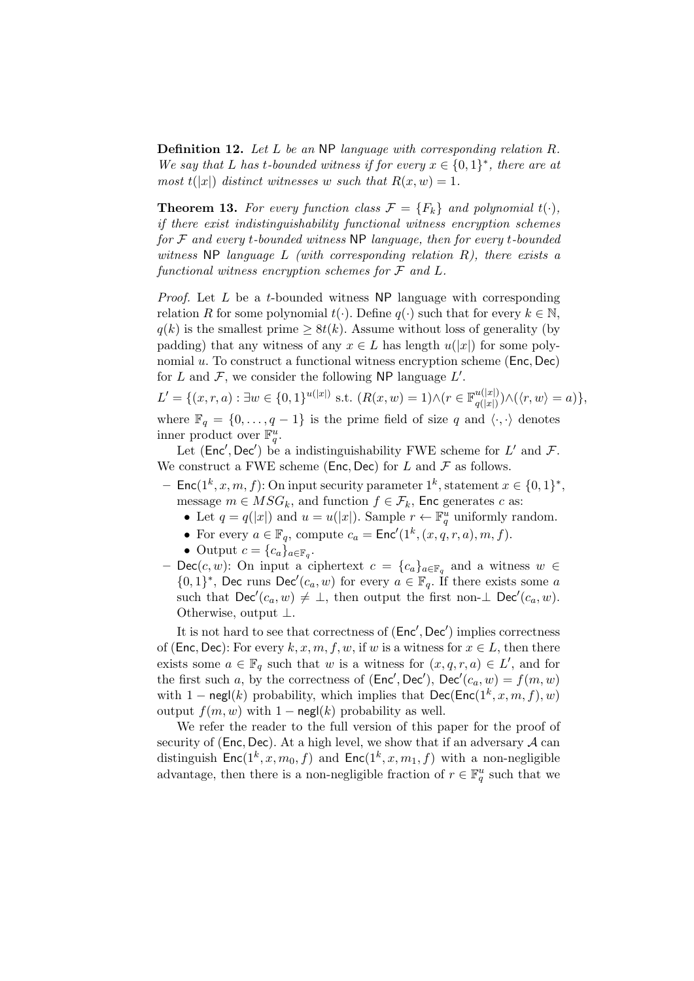**Definition 12.** Let L be an NP language with corresponding relation  $R$ . We say that L has t-bounded witness if for every  $x \in \{0,1\}^*$ , there are at most  $t(|x|)$  distinct witnesses w such that  $R(x, w) = 1$ .

**Theorem 13.** For every function class  $\mathcal{F} = \{F_k\}$  and polynomial  $t(\cdot)$ , if there exist indistinguishability functional witness encryption schemes for  $\mathcal F$  and every t-bounded witness NP language, then for every t-bounded witness NP language L (with corresponding relation  $R$ ), there exists a functional witness encryption schemes for  $\mathcal F$  and  $L$ .

*Proof.* Let  $L$  be a  $t$ -bounded witness NP language with corresponding relation R for some polynomial  $t(\cdot)$ . Define  $q(\cdot)$  such that for every  $k \in \mathbb{N}$ ,  $q(k)$  is the smallest prime  $\geq 8t(k)$ . Assume without loss of generality (by padding) that any witness of any  $x \in L$  has length  $u(|x|)$  for some polynomial  $u$ . To construct a functional witness encryption scheme (Enc, Dec) for L and  $\mathcal{F}$ , we consider the following NP language  $L'$ .

$$
L' = \{(x, r, a) : \exists w \in \{0, 1\}^{u(|x|)} \text{ s.t. } (R(x, w) = 1) \land (r \in \mathbb{F}_{q(|x|)}^{u(|x|)}) \land (\langle r, w \rangle = a)\},\
$$
  
where  $\mathbb{F}_q = \{0, \ldots, q - 1\}$  is the prime field of size q and  $\langle \cdot, \cdot \rangle$  denotes

inner product over  $\mathbb{F}_q^u$ . Let (Enc', Dec') be a indistinguishability FWE scheme for L' and F. We construct a FWE scheme (Enc, Dec) for  $L$  and  $\mathcal F$  as follows.

- Enc( $1^k, x, m, f$ ): On input security parameter  $1^k$ , statement  $x \in \{0, 1\}^*$ , message  $m \in MSG_k$ , and function  $f \in \mathcal{F}_k$ , Enc generates c as:
	- Let  $q = q(|x|)$  and  $u = u(|x|)$ . Sample  $r \leftarrow \mathbb{F}_q^u$  uniformly random.
	- For every  $a \in \mathbb{F}_q$ , compute  $c_a = \text{Enc}'(1^k, (x, q, r, a), m, f)$ .
	- Output  $c = \{c_a\}_{a \in \mathbb{F}_q}$ .
- Dec(*c*, *w*): On input a ciphertext  $c = \{c_a\}_{a \in \mathbb{F}_q}$  and a witness  $w$  ∈  $\{0,1\}^*$ , Dec runs Dec'( $c_a, w$ ) for every  $a \in \mathbb{F}_q$ . If there exists some a such that  $\mathsf{Dec}'(c_a, w) \neq \bot$ , then output the first non- $\bot \mathsf{Dec}'(c_a, w)$ . Otherwise, output ⊥.

It is not hard to see that correctness of  $(Enc', Dec')$  implies correctness of (Enc, Dec): For every k, x, m, f, w, if w is a witness for  $x \in L$ , then there exists some  $a \in \mathbb{F}_q$  such that w is a witness for  $(x, q, r, a) \in L'$ , and for the first such a, by the correctness of  $(Enc', Dec'), Dec'(c_a, w) = f(m, w)$ with  $1 - \mathsf{negl}(k)$  probability, which implies that  $\mathsf{Dec}(\mathsf{Enc}(1^k, x, m, f), w)$ output  $f(m, w)$  with  $1 - \mathsf{negl}(k)$  probability as well.

We refer the reader to the full version of this paper for the proof of security of (Enc, Dec). At a high level, we show that if an adversary  $A$  can distinguish  $\mathsf{Enc}(1^k, x, m_0, f)$  and  $\mathsf{Enc}(1^k, x, m_1, f)$  with a non-negligible advantage, then there is a non-negligible fraction of  $r \in \mathbb{F}_q^u$  such that we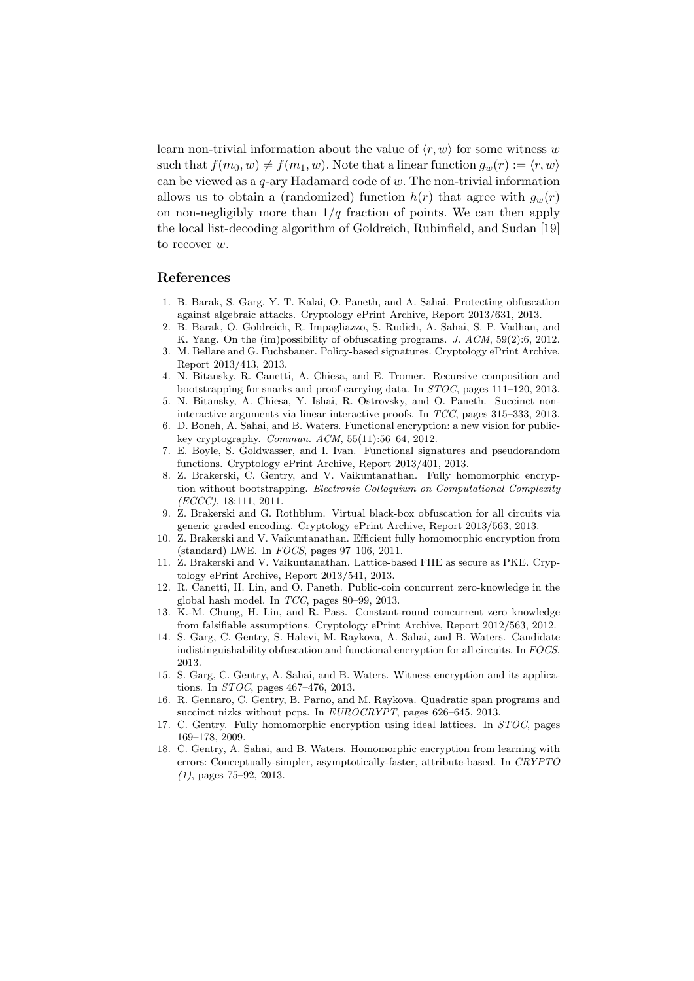learn non-trivial information about the value of  $\langle r, w \rangle$  for some witness w such that  $f(m_0, w) \neq f(m_1, w)$ . Note that a linear function  $g_w(r) := \langle r, w \rangle$ can be viewed as a  $q$ -ary Hadamard code of  $w$ . The non-trivial information allows us to obtain a (randomized) function  $h(r)$  that agree with  $g_w(r)$ on non-negligibly more than  $1/q$  fraction of points. We can then apply the local list-decoding algorithm of Goldreich, Rubinfield, and Sudan [19] to recover w.

#### References

- 1. B. Barak, S. Garg, Y. T. Kalai, O. Paneth, and A. Sahai. Protecting obfuscation against algebraic attacks. Cryptology ePrint Archive, Report 2013/631, 2013.
- 2. B. Barak, O. Goldreich, R. Impagliazzo, S. Rudich, A. Sahai, S. P. Vadhan, and K. Yang. On the (im)possibility of obfuscating programs. J. ACM, 59(2):6, 2012.
- 3. M. Bellare and G. Fuchsbauer. Policy-based signatures. Cryptology ePrint Archive, Report 2013/413, 2013.
- 4. N. Bitansky, R. Canetti, A. Chiesa, and E. Tromer. Recursive composition and bootstrapping for snarks and proof-carrying data. In STOC, pages 111–120, 2013.
- 5. N. Bitansky, A. Chiesa, Y. Ishai, R. Ostrovsky, and O. Paneth. Succinct noninteractive arguments via linear interactive proofs. In TCC, pages 315–333, 2013.
- 6. D. Boneh, A. Sahai, and B. Waters. Functional encryption: a new vision for publickey cryptography. Commun.  $ACM$ ,  $55(11):56-64$ ,  $2012$ .
- 7. E. Boyle, S. Goldwasser, and I. Ivan. Functional signatures and pseudorandom functions. Cryptology ePrint Archive, Report 2013/401, 2013.
- 8. Z. Brakerski, C. Gentry, and V. Vaikuntanathan. Fully homomorphic encryption without bootstrapping. Electronic Colloquium on Computational Complexity (ECCC), 18:111, 2011.
- 9. Z. Brakerski and G. Rothblum. Virtual black-box obfuscation for all circuits via generic graded encoding. Cryptology ePrint Archive, Report 2013/563, 2013.
- 10. Z. Brakerski and V. Vaikuntanathan. Efficient fully homomorphic encryption from (standard) LWE. In  $FOCS$ , pages  $97-106$ ,  $2011$ .
- 11. Z. Brakerski and V. Vaikuntanathan. Lattice-based FHE as secure as PKE. Cryptology ePrint Archive, Report 2013/541, 2013.
- 12. R. Canetti, H. Lin, and O. Paneth. Public-coin concurrent zero-knowledge in the global hash model. In TCC, pages 80–99, 2013.
- 13. K.-M. Chung, H. Lin, and R. Pass. Constant-round concurrent zero knowledge from falsifiable assumptions. Cryptology ePrint Archive, Report 2012/563, 2012.
- 14. S. Garg, C. Gentry, S. Halevi, M. Raykova, A. Sahai, and B. Waters. Candidate indistinguishability obfuscation and functional encryption for all circuits. In FOCS, 2013.
- 15. S. Garg, C. Gentry, A. Sahai, and B. Waters. Witness encryption and its applications. In STOC, pages 467–476, 2013.
- 16. R. Gennaro, C. Gentry, B. Parno, and M. Raykova. Quadratic span programs and succinct nizks without pcps. In EUROCRYPT, pages 626–645, 2013.
- 17. C. Gentry. Fully homomorphic encryption using ideal lattices. In STOC, pages 169–178, 2009.
- 18. C. Gentry, A. Sahai, and B. Waters. Homomorphic encryption from learning with errors: Conceptually-simpler, asymptotically-faster, attribute-based. In CRYPTO (1), pages 75–92, 2013.